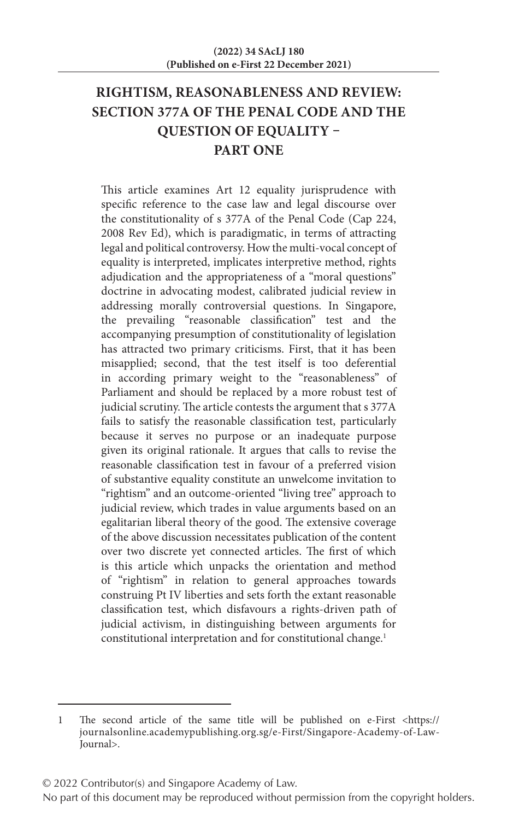# **RIGHTISM, REASONABLENESS AND REVIEW: SECTION 377A OF THE PENAL CODE AND THE QUESTION OF EQUALITY – PART ONE**

This article examines Art 12 equality jurisprudence with specific reference to the case law and legal discourse over the constitutionality of s 377A of the Penal Code (Cap 224, 2008 Rev Ed), which is paradigmatic, in terms of attracting legal and political controversy. How the multi-vocal concept of equality is interpreted, implicates interpretive method, rights adjudication and the appropriateness of a "moral questions" doctrine in advocating modest, calibrated judicial review in addressing morally controversial questions. In Singapore, the prevailing "reasonable classification" test and the accompanying presumption of constitutionality of legislation has attracted two primary criticisms. First, that it has been misapplied; second, that the test itself is too deferential in according primary weight to the "reasonableness" of Parliament and should be replaced by a more robust test of judicial scrutiny. The article contests the argument that s 377A fails to satisfy the reasonable classification test, particularly because it serves no purpose or an inadequate purpose given its original rationale. It argues that calls to revise the reasonable classification test in favour of a preferred vision of substantive equality constitute an unwelcome invitation to "rightism" and an outcome-oriented "living tree" approach to judicial review, which trades in value arguments based on an egalitarian liberal theory of the good. The extensive coverage of the above discussion necessitates publication of the content over two discrete yet connected articles. The first of which is this article which unpacks the orientation and method of "rightism" in relation to general approaches towards construing Pt IV liberties and sets forth the extant reasonable classification test, which disfavours a rights-driven path of judicial activism, in distinguishing between arguments for constitutional interpretation and for constitutional change.<sup>1</sup>

© 2022 Contributor(s) and Singapore Academy of Law.

<sup>1</sup> The second article of the same title will be published on e-First <https:// journalsonline.academypublishing.org.sg/e-First/Singapore-Academy-of-Law-Journal>.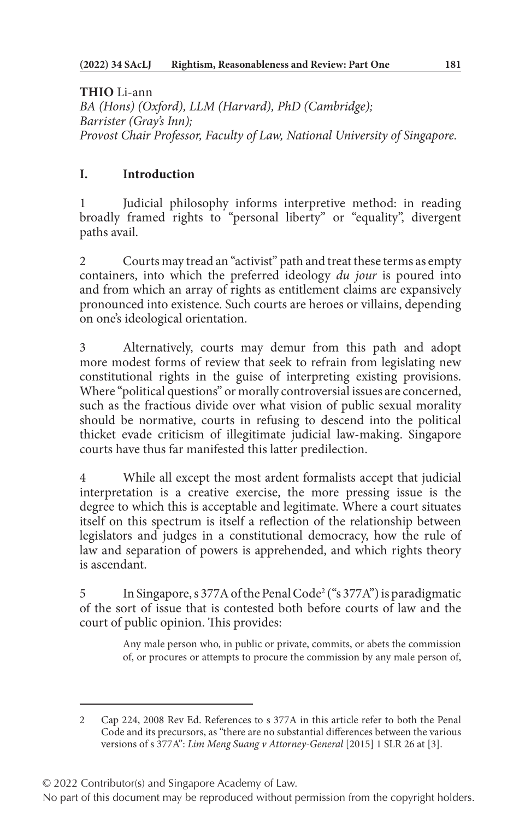**THIO** Li-ann *BA (Hons) (Oxford), LLM (Harvard), PhD (Cambridge); Barrister (Gray's Inn); Provost Chair Professor, Faculty of Law, National University of Singapore.*

# **I. Introduction**

Judicial philosophy informs interpretive method: in reading broadly framed rights to "personal liberty" or "equality", divergent paths avail.

2 Courts may tread an "activist" path and treat these terms as empty containers, into which the preferred ideology *du jour* is poured into and from which an array of rights as entitlement claims are expansively pronounced into existence. Such courts are heroes or villains, depending on one's ideological orientation.

3 Alternatively, courts may demur from this path and adopt more modest forms of review that seek to refrain from legislating new constitutional rights in the guise of interpreting existing provisions. Where "political questions" or morally controversial issues are concerned, such as the fractious divide over what vision of public sexual morality should be normative, courts in refusing to descend into the political thicket evade criticism of illegitimate judicial law-making. Singapore courts have thus far manifested this latter predilection.

While all except the most ardent formalists accept that judicial interpretation is a creative exercise, the more pressing issue is the degree to which this is acceptable and legitimate. Where a court situates itself on this spectrum is itself a reflection of the relationship between legislators and judges in a constitutional democracy, how the rule of law and separation of powers is apprehended, and which rights theory is ascendant.

5 In Singapore, s 377A of the Penal Code<sup>2</sup> ("s 377A") is paradigmatic of the sort of issue that is contested both before courts of law and the court of public opinion. This provides:

> Any male person who, in public or private, commits, or abets the commission of, or procures or attempts to procure the commission by any male person of,

© 2022 Contributor(s) and Singapore Academy of Law.

<sup>2</sup> Cap 224, 2008 Rev Ed. References to s 377A in this article refer to both the Penal Code and its precursors, as "there are no substantial differences between the various versions of s 377A": *Lim Meng Suang v Attorney-General* [2015] 1 SLR 26 at [3].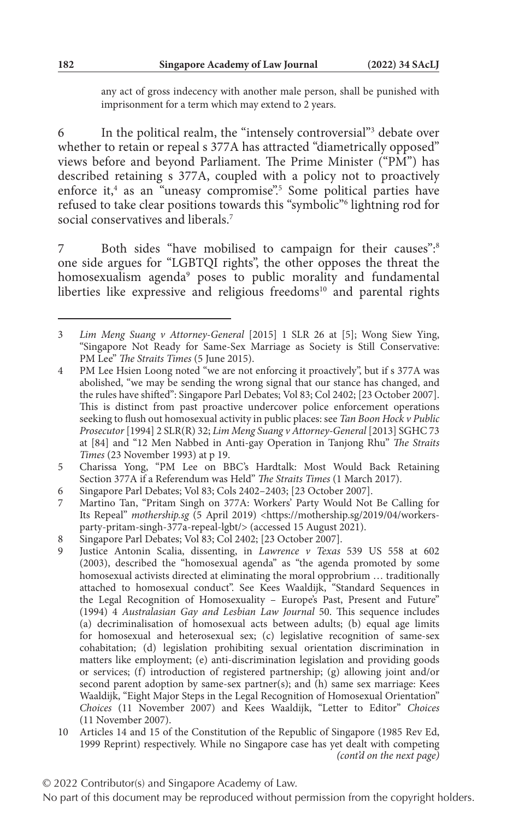any act of gross indecency with another male person, shall be punished with imprisonment for a term which may extend to 2 years.

6 In the political realm, the "intensely controversial"3 debate over whether to retain or repeal s 377A has attracted "diametrically opposed" views before and beyond Parliament. The Prime Minister ("PM") has described retaining s 377A, coupled with a policy not to proactively enforce it,<sup>4</sup> as an "uneasy compromise".<sup>5</sup> Some political parties have refused to take clear positions towards this "symbolic"6 lightning rod for social conservatives and liberals.<sup>7</sup>

7 Both sides "have mobilised to campaign for their causes":<sup>8</sup> one side argues for "LGBTQI rights", the other opposes the threat the homosexualism agenda9 poses to public morality and fundamental liberties like expressive and religious freedoms $10$  and parental rights

6 Singapore Parl Debates; Vol 83; Cols 2402–2403; [23 October 2007].

- 8 Singapore Parl Debates; Vol 83; Col 2402; [23 October 2007].<br>9 Iustice Antonin Scalia dissenting in Lawrence v Texas
- 9 Justice Antonin Scalia, dissenting, in *Lawrence v Texas* 539 US 558 at 602 (2003), described the "homosexual agenda" as "the agenda promoted by some homosexual activists directed at eliminating the moral opprobrium … traditionally attached to homosexual conduct". See Kees Waaldijk, "Standard Sequences in the Legal Recognition of Homosexuality – Europe's Past, Present and Future" (1994) 4 *Australasian Gay and Lesbian Law Journal* 50. This sequence includes (a) decriminalisation of homosexual acts between adults; (b) equal age limits for homosexual and heterosexual sex; (c) legislative recognition of same-sex cohabitation; (d) legislation prohibiting sexual orientation discrimination in matters like employment; (e) anti-discrimination legislation and providing goods or services; (f) introduction of registered partnership; (g) allowing joint and/or second parent adoption by same-sex partner(s); and (h) same sex marriage: Kees Waaldijk, "Eight Major Steps in the Legal Recognition of Homosexual Orientation" *Choices* (11 November 2007) and Kees Waaldijk, "Letter to Editor" *Choices* (11 November 2007).
- 10 Articles 14 and 15 of the Constitution of the Republic of Singapore (1985 Rev Ed, 1999 Reprint) respectively. While no Singapore case has yet dealt with competing *(cont'd on the next page)*

<sup>3</sup> *Lim Meng Suang v Attorney-General* [2015] 1 SLR 26 at [5]; Wong Siew Ying, "Singapore Not Ready for Same-Sex Marriage as Society is Still Conservative: PM Lee" *The Straits Times* (5 June 2015).

<sup>4</sup> PM Lee Hsien Loong noted "we are not enforcing it proactively", but if s 377A was abolished, "we may be sending the wrong signal that our stance has changed, and the rules have shifted": Singapore Parl Debates; Vol 83; Col 2402; [23 October 2007]. This is distinct from past proactive undercover police enforcement operations seeking to flush out homosexual activity in public places: see *Tan Boon Hock v Public Prosecutor* [1994] 2 SLR(R) 32; *Lim Meng Suang v Attorney-General* [2013] SGHC 73 at [84] and "12 Men Nabbed in Anti-gay Operation in Tanjong Rhu" *The Straits Times* (23 November 1993) at p 19.

<sup>5</sup> Charissa Yong, "PM Lee on BBC's Hardtalk: Most Would Back Retaining Section 377A if a Referendum was Held" *The Straits Times* (1 March 2017).

<sup>7</sup> Martino Tan, "Pritam Singh on 377A: Workers' Party Would Not Be Calling for Its Repeal" *mothership.sg* (5 April 2019) <https://mothership.sg/2019/04/workersparty-pritam-singh-377a-repeal-lgbt/> (accessed 15 August 2021).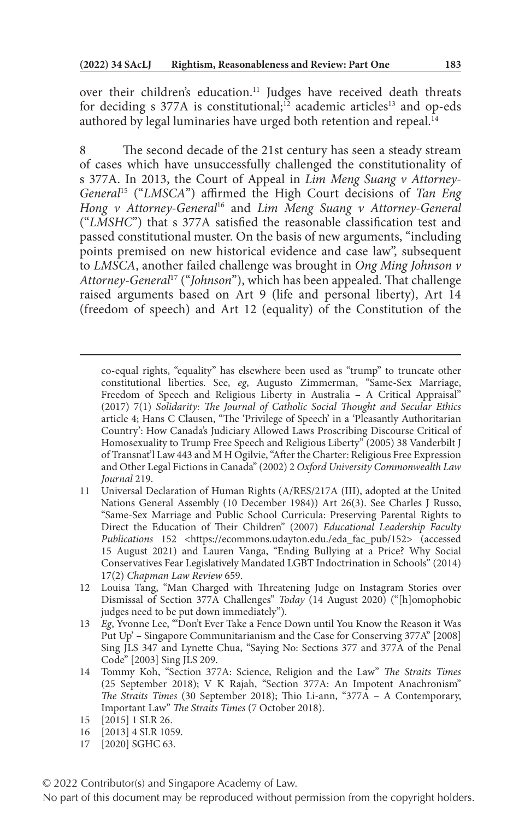over their children's education.<sup>11</sup> Judges have received death threats for deciding s  $377A$  is constitutional;<sup>12</sup> academic articles<sup>13</sup> and op-eds authored by legal luminaries have urged both retention and repeal.<sup>14</sup>

8 The second decade of the 21st century has seen a steady stream of cases which have unsuccessfully challenged the constitutionality of s 377A. In 2013, the Court of Appeal in *Lim Meng Suang v Attorney-General*15 ("*LMSCA*") affirmed the High Court decisions of *Tan Eng Hong v Attorney-General*16 and *Lim Meng Suang v Attorney-General* ("*LMSHC*") that s 377A satisfied the reasonable classification test and passed constitutional muster. On the basis of new arguments, "including points premised on new historical evidence and case law", subsequent to *LMSCA*, another failed challenge was brought in *Ong Ming Johnson v Attorney-General*17 ("*Johnson*"), which has been appealed. That challenge raised arguments based on Art 9 (life and personal liberty), Art 14 (freedom of speech) and Art 12 (equality) of the Constitution of the

- 11 Universal Declaration of Human Rights (A/RES/217A (III), adopted at the United Nations General Assembly (10 December 1984)) Art 26(3). See Charles J Russo, "Same-Sex Marriage and Public School Curricula: Preserving Parental Rights to Direct the Education of Their Children" (2007) *Educational Leadership Faculty*  Publications 152 <https://ecommons.udayton.edu./eda\_fac\_pub/152> (accessed 15 August 2021) and Lauren Vanga, "Ending Bullying at a Price? Why Social Conservatives Fear Legislatively Mandated LGBT Indoctrination in Schools" (2014) 17(2) *Chapman Law Review* 659.
- 12 Louisa Tang, "Man Charged with Threatening Judge on Instagram Stories over Dismissal of Section 377A Challenges" *Today* (14 August 2020) ("[h]omophobic judges need to be put down immediately").
- 13 *Eg*, Yvonne Lee, "'Don't Ever Take a Fence Down until You Know the Reason it Was Put Up' – Singapore Communitarianism and the Case for Conserving 377A" [2008] Sing JLS 347 and Lynette Chua, "Saying No: Sections 377 and 377A of the Penal Code" [2003] Sing JLS 209.
- 14 Tommy Koh, "Section 377A: Science, Religion and the Law" *The Straits Times* (25 September 2018); V K Rajah, "Section 377A: An Impotent Anachronism" *The Straits Times* (30 September 2018); Thio Li-ann, "377A – A Contemporary, Important Law" *The Straits Times* (7 October 2018).
- 15 [2015] 1 SLR 26.
- 16 [2013] 4 SLR 1059.
- 17 [2020] SGHC 63.

© 2022 Contributor(s) and Singapore Academy of Law.

co-equal rights, "equality" has elsewhere been used as "trump" to truncate other constitutional liberties. See, *eg*, Augusto Zimmerman, "Same-Sex Marriage, Freedom of Speech and Religious Liberty in Australia – A Critical Appraisal" (2017) 7(1) *Solidarity: The Journal of Catholic Social Thought and Secular Ethics* article 4; Hans C Clausen, "The 'Privilege of Speech' in a 'Pleasantly Authoritarian Country': How Canada's Judiciary Allowed Laws Proscribing Discourse Critical of Homosexuality to Trump Free Speech and Religious Liberty" (2005) 38 Vanderbilt J of Transnat'l Law 443 and M H Ogilvie, "After the Charter: Religious Free Expression and Other Legal Fictions in Canada" (2002) 2 *Oxford University Commonwealth Law Journal* 219.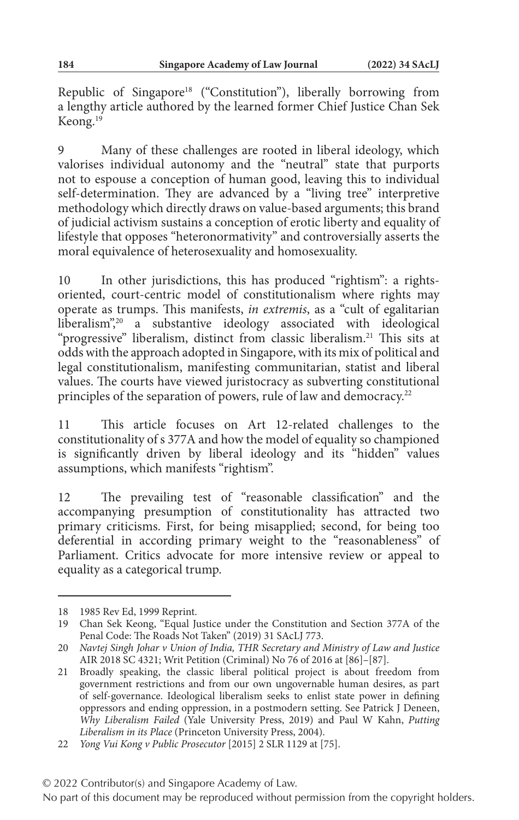Republic of Singapore<sup>18</sup> ("Constitution"), liberally borrowing from a lengthy article authored by the learned former Chief Justice Chan Sek Keong.19

Many of these challenges are rooted in liberal ideology, which valorises individual autonomy and the "neutral" state that purports not to espouse a conception of human good, leaving this to individual self-determination. They are advanced by a "living tree" interpretive methodology which directly draws on value-based arguments; this brand of judicial activism sustains a conception of erotic liberty and equality of lifestyle that opposes "heteronormativity" and controversially asserts the moral equivalence of heterosexuality and homosexuality.

10 In other jurisdictions, this has produced "rightism": a rightsoriented, court-centric model of constitutionalism where rights may operate as trumps. This manifests, *in extremis*, as a "cult of egalitarian liberalism",<sup>20</sup> a substantive ideology associated with ideological "progressive" liberalism, distinct from classic liberalism.<sup>21</sup> This sits at odds with the approach adopted in Singapore, with its mix of political and legal constitutionalism, manifesting communitarian, statist and liberal values. The courts have viewed juristocracy as subverting constitutional principles of the separation of powers, rule of law and democracy.<sup>22</sup>

11 This article focuses on Art 12-related challenges to the constitutionality of s 377A and how the model of equality so championed is significantly driven by liberal ideology and its "hidden" values assumptions, which manifests "rightism".

12 The prevailing test of "reasonable classification" and the accompanying presumption of constitutionality has attracted two primary criticisms. First, for being misapplied; second, for being too deferential in according primary weight to the "reasonableness" of Parliament. Critics advocate for more intensive review or appeal to equality as a categorical trump.

<sup>18</sup> 1985 Rev Ed, 1999 Reprint.

<sup>19</sup> Chan Sek Keong, "Equal Justice under the Constitution and Section 377A of the Penal Code: The Roads Not Taken" (2019) 31 SAcLJ 773.

<sup>20</sup> *Navtej Singh Johar v Union of India, THR Secretary and Ministry of Law and Justice* AIR 2018 SC 4321; Writ Petition (Criminal) No 76 of 2016 at [86]–[87].

<sup>21</sup> Broadly speaking, the classic liberal political project is about freedom from government restrictions and from our own ungovernable human desires, as part of self-governance. Ideological liberalism seeks to enlist state power in defining oppressors and ending oppression, in a postmodern setting. See Patrick J Deneen, *Why Liberalism Failed* (Yale University Press, 2019) and Paul W Kahn, *Putting Liberalism in its Place* (Princeton University Press, 2004).

<sup>22</sup> *Yong Vui Kong v Public Prosecutor* [2015] 2 SLR 1129 at [75].

<sup>© 2022</sup> Contributor(s) and Singapore Academy of Law.

No part of this document may be reproduced without permission from the copyright holders.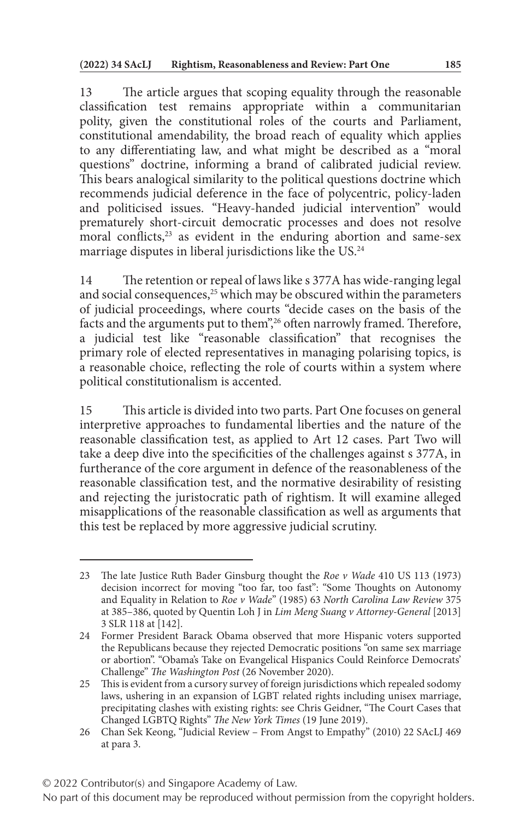13 The article argues that scoping equality through the reasonable classification test remains appropriate within a communitarian polity, given the constitutional roles of the courts and Parliament, constitutional amendability, the broad reach of equality which applies to any differentiating law, and what might be described as a "moral questions" doctrine, informing a brand of calibrated judicial review. This bears analogical similarity to the political questions doctrine which recommends judicial deference in the face of polycentric, policy-laden and politicised issues. "Heavy-handed judicial intervention" would prematurely short-circuit democratic processes and does not resolve moral conflicts, $23$  as evident in the enduring abortion and same-sex marriage disputes in liberal jurisdictions like the US.24

14 The retention or repeal of laws like s 377A has wide-ranging legal and social consequences, $25$  which may be obscured within the parameters of judicial proceedings, where courts "decide cases on the basis of the facts and the arguments put to them",<sup>26</sup> often narrowly framed. Therefore, a judicial test like "reasonable classification" that recognises the primary role of elected representatives in managing polarising topics, is a reasonable choice, reflecting the role of courts within a system where political constitutionalism is accented.

15 This article is divided into two parts. Part One focuses on general interpretive approaches to fundamental liberties and the nature of the reasonable classification test, as applied to Art 12 cases. Part Two will take a deep dive into the specificities of the challenges against s 377A, in furtherance of the core argument in defence of the reasonableness of the reasonable classification test, and the normative desirability of resisting and rejecting the juristocratic path of rightism. It will examine alleged misapplications of the reasonable classification as well as arguments that this test be replaced by more aggressive judicial scrutiny.

<sup>23</sup> The late Justice Ruth Bader Ginsburg thought the *Roe v Wade* 410 US 113 (1973) decision incorrect for moving "too far, too fast": "Some Thoughts on Autonomy and Equality in Relation to *Roe v Wade*" (1985) 63 *North Carolina Law Review* 375 at 385–386, quoted by Quentin Loh J in *Lim Meng Suang v Attorney-General* [2013] 3 SLR 118 at [142].

<sup>24</sup> Former President Barack Obama observed that more Hispanic voters supported the Republicans because they rejected Democratic positions "on same sex marriage or abortion". "Obama's Take on Evangelical Hispanics Could Reinforce Democrats' Challenge" *The Washington Post* (26 November 2020).

<sup>25</sup> This is evident from a cursory survey of foreign jurisdictions which repealed sodomy laws, ushering in an expansion of LGBT related rights including unisex marriage, precipitating clashes with existing rights: see Chris Geidner, "The Court Cases that Changed LGBTQ Rights" *The New York Times* (19 June 2019).

<sup>26</sup> Chan Sek Keong, "Judicial Review – From Angst to Empathy" (2010) 22 SAcLJ 469 at para 3.

No part of this document may be reproduced without permission from the copyright holders.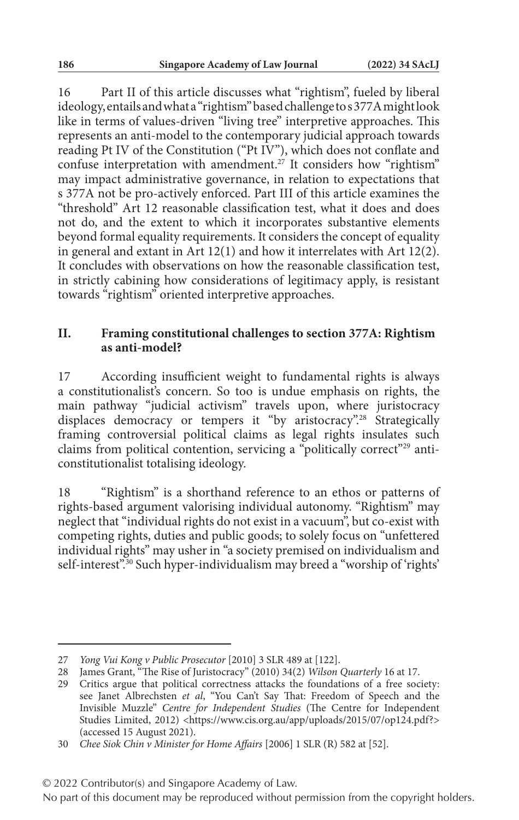16 Part II of this article discusses what "rightism", fueled by liberal ideology, entails and what a "rightism" based challenge to s 377A might look like in terms of values-driven "living tree" interpretive approaches. This represents an anti-model to the contemporary judicial approach towards reading Pt IV of the Constitution ("Pt IV"), which does not conflate and confuse interpretation with amendment.<sup>27</sup> It considers how "rightism" may impact administrative governance, in relation to expectations that s 377A not be pro-actively enforced. Part III of this article examines the "threshold" Art 12 reasonable classification test, what it does and does not do, and the extent to which it incorporates substantive elements beyond formal equality requirements. It considers the concept of equality in general and extant in Art 12(1) and how it interrelates with Art 12(2). It concludes with observations on how the reasonable classification test, in strictly cabining how considerations of legitimacy apply, is resistant towards "rightism" oriented interpretive approaches.

#### **II. Framing constitutional challenges to section 377A: Rightism as anti-model?**

17 According insufficient weight to fundamental rights is always a constitutionalist's concern. So too is undue emphasis on rights, the main pathway "judicial activism" travels upon, where juristocracy displaces democracy or tempers it "by aristocracy".<sup>28</sup> Strategically framing controversial political claims as legal rights insulates such claims from political contention, servicing a "politically correct"<sup>29</sup> anticonstitutionalist totalising ideology.

18 "Rightism" is a shorthand reference to an ethos or patterns of rights-based argument valorising individual autonomy. "Rightism" may neglect that "individual rights do not exist in a vacuum", but co-exist with competing rights, duties and public goods; to solely focus on "unfettered individual rights" may usher in "a society premised on individualism and self-interest".<sup>30</sup> Such hyper-individualism may breed a "worship of 'rights'

#### © 2022 Contributor(s) and Singapore Academy of Law.

<sup>27</sup> *Yong Vui Kong v Public Prosecutor* [2010] 3 SLR 489 at [122].

<sup>28</sup> James Grant, "The Rise of Juristocracy" (2010) 34(2) *Wilson Quarterly* 16 at 17.

<sup>29</sup> Critics argue that political correctness attacks the foundations of a free society: see Janet Albrechsten *et al*, "You Can't Say That: Freedom of Speech and the Invisible Muzzle" *Centre for Independent Studies* (The Centre for Independent Studies Limited, 2012) <https://www.cis.org.au/app/uploads/2015/07/op124.pdf?> (accessed 15 August 2021).

<sup>30</sup> *Chee Siok Chin v Minister for Home Affairs* [2006] 1 SLR (R) 582 at [52].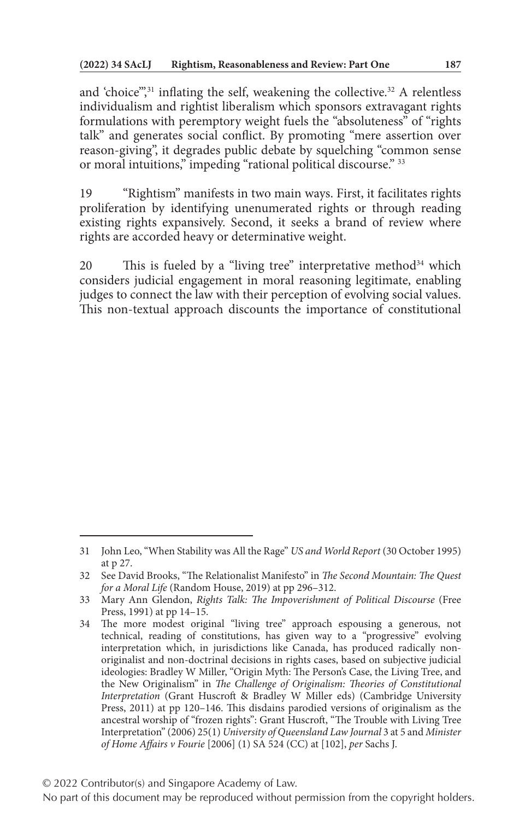and 'choice",<sup>31</sup> inflating the self, weakening the collective.<sup>32</sup> A relentless individualism and rightist liberalism which sponsors extravagant rights formulations with peremptory weight fuels the "absoluteness" of "rights talk" and generates social conflict. By promoting "mere assertion over reason-giving", it degrades public debate by squelching "common sense or moral intuitions," impeding "rational political discourse." 33

19 "Rightism" manifests in two main ways. First, it facilitates rights proliferation by identifying unenumerated rights or through reading existing rights expansively. Second, it seeks a brand of review where rights are accorded heavy or determinative weight.

20 This is fueled by a "living tree" interpretative method<sup>34</sup> which considers judicial engagement in moral reasoning legitimate, enabling judges to connect the law with their perception of evolving social values. This non-textual approach discounts the importance of constitutional

<sup>31</sup> John Leo, "When Stability was All the Rage" *US and World Report* (30 October 1995) at p 27.

<sup>32</sup> See David Brooks, "The Relationalist Manifesto" in *The Second Mountain: The Quest for a Moral Life* (Random House, 2019) at pp 296–312.

<sup>33</sup> Mary Ann Glendon, *Rights Talk: The Impoverishment of Political Discourse* (Free Press, 1991) at pp 14–15.

<sup>34</sup> The more modest original "living tree" approach espousing a generous, not technical, reading of constitutions, has given way to a "progressive" evolving interpretation which, in jurisdictions like Canada, has produced radically nonoriginalist and non-doctrinal decisions in rights cases, based on subjective judicial ideologies: Bradley W Miller, "Origin Myth: The Person's Case, the Living Tree, and the New Originalism" in *The Challenge of Originalism: Theories of Constitutional Interpretation* (Grant Huscroft & Bradley W Miller eds) (Cambridge University Press, 2011) at pp 120–146. This disdains parodied versions of originalism as the ancestral worship of "frozen rights": Grant Huscroft, "The Trouble with Living Tree Interpretation" (2006) 25(1) *University of Queensland Law Journal* 3 at 5 and *Minister of Home Affairs v Fourie* [2006] (1) SA 524 (CC) at [102], *per* Sachs J.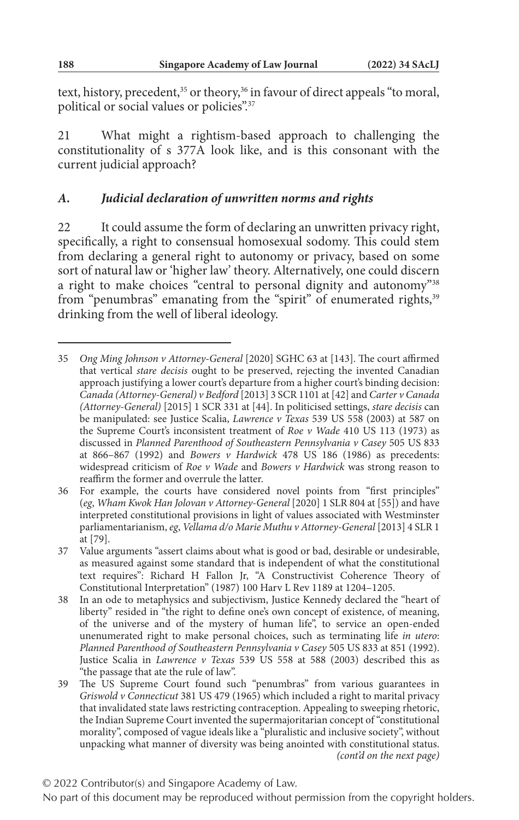text, history, precedent,<sup>35</sup> or theory,<sup>36</sup> in favour of direct appeals "to moral, political or social values or policies".37

21 What might a rightism-based approach to challenging the constitutionality of s 377A look like, and is this consonant with the current judicial approach?

## *A. Judicial declaration of unwritten norms and rights*

22 It could assume the form of declaring an unwritten privacy right, specifically, a right to consensual homosexual sodomy. This could stem from declaring a general right to autonomy or privacy, based on some sort of natural law or 'higher law' theory. Alternatively, one could discern a right to make choices "central to personal dignity and autonomy"38 from "penumbras" emanating from the "spirit" of enumerated rights,<sup>39</sup> drinking from the well of liberal ideology.

<sup>35</sup> *Ong Ming Johnson v Attorney-General* [2020] SGHC 63 at [143]. The court affirmed that vertical *stare decisis* ought to be preserved, rejecting the invented Canadian approach justifying a lower court's departure from a higher court's binding decision: *Canada (Attorney-General) v Bedford* [2013] 3 SCR 1101 at [42] and *Carter v Canada (Attorney-General)* [2015] 1 SCR 331 at [44]. In politicised settings, *stare decisis* can be manipulated: see Justice Scalia, *Lawrence v Texas* 539 US 558 (2003) at 587 on the Supreme Court's inconsistent treatment of *Roe v Wade* 410 US 113 (1973) as discussed in *Planned Parenthood of Southeastern Pennsylvania v Casey* 505 US 833 at 866–867 (1992) and *Bowers v Hardwick* 478 US 186 (1986) as precedents: widespread criticism of *Roe v Wade* and *Bowers v Hardwick* was strong reason to reaffirm the former and overrule the latter.

<sup>36</sup> For example, the courts have considered novel points from "first principles" (*eg*, *Wham Kwok Han Jolovan v Attorney-General* [2020] 1 SLR 804 at [55]) and have interpreted constitutional provisions in light of values associated with Westminster parliamentarianism, *eg*, *Vellama d/o Marie Muthu v Attorney-General* [2013] 4 SLR 1 at [79].

<sup>37</sup> Value arguments "assert claims about what is good or bad, desirable or undesirable, as measured against some standard that is independent of what the constitutional text requires": Richard H Fallon Jr, "A Constructivist Coherence Theory of Constitutional Interpretation" (1987) 100 Harv L Rev 1189 at 1204–1205.

<sup>38</sup> In an ode to metaphysics and subjectivism, Justice Kennedy declared the "heart of liberty" resided in "the right to define one's own concept of existence, of meaning, of the universe and of the mystery of human life", to service an open-ended unenumerated right to make personal choices, such as terminating life *in utero*: *Planned Parenthood of Southeastern Pennsylvania v Casey* 505 US 833 at 851 (1992). Justice Scalia in *Lawrence v Texas* 539 US 558 at 588 (2003) described this as "the passage that ate the rule of law".

<sup>39</sup> The US Supreme Court found such "penumbras" from various guarantees in *Griswold v Connecticut* 381 US 479 (1965) which included a right to marital privacy that invalidated state laws restricting contraception. Appealing to sweeping rhetoric, the Indian Supreme Court invented the supermajoritarian concept of "constitutional morality", composed of vague ideals like a "pluralistic and inclusive society", without unpacking what manner of diversity was being anointed with constitutional status. *(cont'd on the next page)*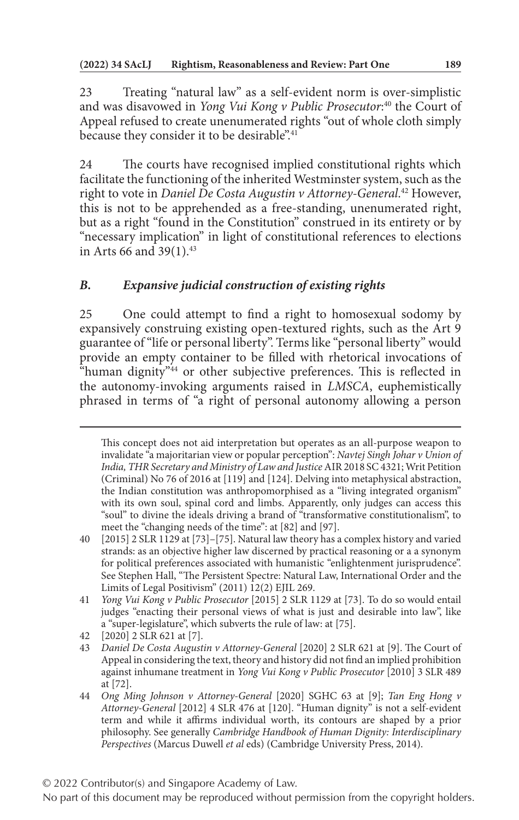23 Treating "natural law" as a self-evident norm is over-simplistic and was disavowed in *Yong Vui Kong v Public Prosecutor*: 40 the Court of Appeal refused to create unenumerated rights "out of whole cloth simply because they consider it to be desirable".41

24 The courts have recognised implied constitutional rights which facilitate the functioning of the inherited Westminster system, such as the right to vote in *Daniel De Costa Augustin v Attorney-General*. 42 However, this is not to be apprehended as a free-standing, unenumerated right, but as a right "found in the Constitution" construed in its entirety or by "necessary implication" in light of constitutional references to elections in Arts 66 and 39(1).<sup>43</sup>

# *B. Expansive judicial construction of existing rights*

25 One could attempt to find a right to homosexual sodomy by expansively construing existing open-textured rights, such as the Art 9 guarantee of "life or personal liberty". Terms like "personal liberty" would provide an empty container to be filled with rhetorical invocations of "human dignity"<sup>44</sup> or other subjective preferences. This is reflected in the autonomy-invoking arguments raised in *LMSCA*, euphemistically phrased in terms of "a right of personal autonomy allowing a person

42 [2020] 2 SLR 621 at [7].

This concept does not aid interpretation but operates as an all-purpose weapon to invalidate "a majoritarian view or popular perception": *Navtej Singh Johar v Union of India, THR Secretary and Ministry of Law and Justice* AIR 2018 SC 4321; Writ Petition (Criminal) No 76 of 2016 at [119] and [124]. Delving into metaphysical abstraction, the Indian constitution was anthropomorphised as a "living integrated organism" with its own soul, spinal cord and limbs. Apparently, only judges can access this "soul" to divine the ideals driving a brand of "transformative constitutionalism", to meet the "changing needs of the time": at [82] and [97].

<sup>40</sup> [2015] 2 SLR 1129 at [73]–[75]. Natural law theory has a complex history and varied strands: as an objective higher law discerned by practical reasoning or a a synonym for political preferences associated with humanistic "enlightenment jurisprudence". See Stephen Hall, "The Persistent Spectre: Natural Law, International Order and the Limits of Legal Positivism" (2011) 12(2) EJIL 269.

<sup>41</sup> *Yong Vui Kong v Public Prosecutor* [2015] 2 SLR 1129 at [73]. To do so would entail judges "enacting their personal views of what is just and desirable into law", like a "super-legislature", which subverts the rule of law: at [75].

<sup>43</sup> *Daniel De Costa Augustin v Attorney-General* [2020] 2 SLR 621 at [9]. The Court of Appeal in considering the text, theory and history did not find an implied prohibition against inhumane treatment in *Yong Vui Kong v Public Prosecutor* [2010] 3 SLR 489 at [72].

<sup>44</sup> *Ong Ming Johnson v Attorney-General* [2020] SGHC 63 at [9]; *Tan Eng Hong v Attorney-General* [2012] 4 SLR 476 at [120]. "Human dignity" is not a self-evident term and while it affirms individual worth, its contours are shaped by a prior philosophy. See generally *Cambridge Handbook of Human Dignity: Interdisciplinary Perspectives* (Marcus Duwell *et al* eds) (Cambridge University Press, 2014).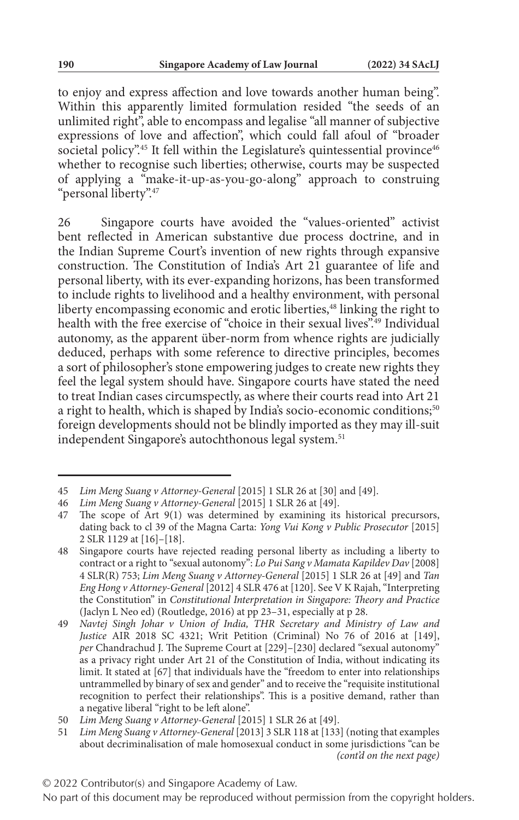to enjoy and express affection and love towards another human being". Within this apparently limited formulation resided "the seeds of an unlimited right", able to encompass and legalise "all manner of subjective expressions of love and affection", which could fall afoul of "broader societal policy".<sup>45</sup> It fell within the Legislature's quintessential province<sup>46</sup> whether to recognise such liberties; otherwise, courts may be suspected of applying a "make-it-up-as-you-go-along" approach to construing "personal liberty".47

26 Singapore courts have avoided the "values-oriented" activist bent reflected in American substantive due process doctrine, and in the Indian Supreme Court's invention of new rights through expansive construction. The Constitution of India's Art 21 guarantee of life and personal liberty, with its ever-expanding horizons, has been transformed to include rights to livelihood and a healthy environment, with personal liberty encompassing economic and erotic liberties,<sup>48</sup> linking the right to health with the free exercise of "choice in their sexual lives".<sup>49</sup> Individual autonomy, as the apparent über-norm from whence rights are judicially deduced, perhaps with some reference to directive principles, becomes a sort of philosopher's stone empowering judges to create new rights they feel the legal system should have. Singapore courts have stated the need to treat Indian cases circumspectly, as where their courts read into Art 21 a right to health, which is shaped by India's socio-economic conditions;<sup>50</sup> foreign developments should not be blindly imported as they may ill-suit independent Singapore's autochthonous legal system.<sup>51</sup>

<sup>45</sup> *Lim Meng Suang v Attorney-General* [2015] 1 SLR 26 at [30] and [49].

<sup>46</sup> *Lim Meng Suang v Attorney-General* [2015] 1 SLR 26 at [49].

<sup>47</sup> The scope of Art 9(1) was determined by examining its historical precursors, dating back to cl 39 of the Magna Carta: *Yong Vui Kong v Public Prosecutor* [2015] 2 SLR 1129 at [16]–[18].

<sup>48</sup> Singapore courts have rejected reading personal liberty as including a liberty to contract or a right to "sexual autonomy": *Lo Pui Sang v Mamata Kapildev Dav* [2008] 4 SLR(R) 753; *Lim Meng Suang v Attorney-General* [2015] 1 SLR 26 at [49] and *Tan Eng Hong v Attorney-General* [2012] 4 SLR 476 at [120]. See V K Rajah, "Interpreting the Constitution" in *Constitutional Interpretation in Singapore: Theory and Practice* (Jaclyn L Neo ed) (Routledge, 2016) at pp 23–31, especially at p 28.

<sup>49</sup> *Navtej Singh Johar v Union of India, THR Secretary and Ministry of Law and Justice* AIR 2018 SC 4321; Writ Petition (Criminal) No 76 of 2016 at [149], *per* Chandrachud J. The Supreme Court at [229]–[230] declared "sexual autonomy" as a privacy right under Art 21 of the Constitution of India, without indicating its limit. It stated at [67] that individuals have the "freedom to enter into relationships untrammelled by binary of sex and gender" and to receive the "requisite institutional recognition to perfect their relationships". This is a positive demand, rather than a negative liberal "right to be left alone".

<sup>50</sup> *Lim Meng Suang v Attorney-General* [2015] 1 SLR 26 at [49].

<sup>51</sup> *Lim Meng Suang v Attorney-General* [2013] 3 SLR 118 at [133] (noting that examples about decriminalisation of male homosexual conduct in some jurisdictions "can be *(cont'd on the next page)*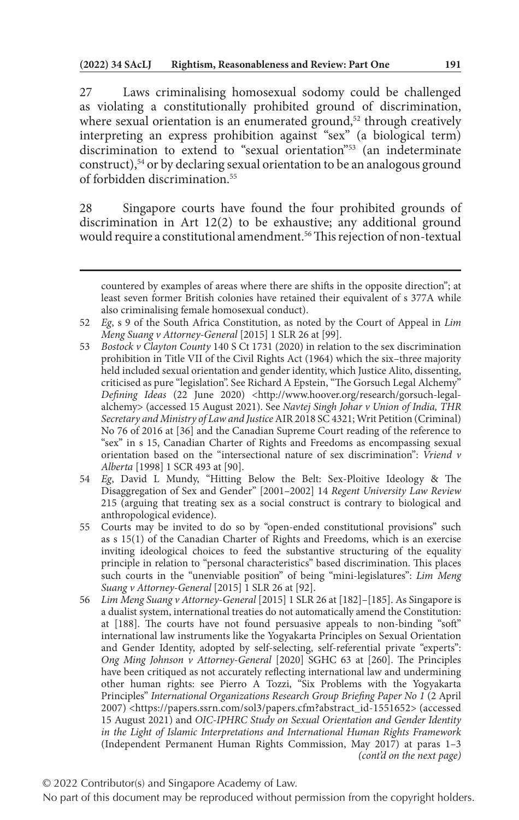27 Laws criminalising homosexual sodomy could be challenged as violating a constitutionally prohibited ground of discrimination, where sexual orientation is an enumerated ground,<sup>52</sup> through creatively interpreting an express prohibition against "sex" (a biological term) discrimination to extend to "sexual orientation"53 (an indeterminate construct),54 or by declaring sexual orientation to be an analogous ground of forbidden discrimination.55

28 Singapore courts have found the four prohibited grounds of discrimination in Art 12(2) to be exhaustive; any additional ground would require a constitutional amendment.<sup>56</sup> This rejection of non-textual

© 2022 Contributor(s) and Singapore Academy of Law.

countered by examples of areas where there are shifts in the opposite direction"; at least seven former British colonies have retained their equivalent of s 377A while also criminalising female homosexual conduct).

<sup>52</sup> *Eg*, s 9 of the South Africa Constitution, as noted by the Court of Appeal in *Lim Meng Suang v Attorney-General* [2015] 1 SLR 26 at [99].

<sup>53</sup> *Bostock v Clayton County* 140 S Ct 1731 (2020) in relation to the sex discrimination prohibition in Title VII of the Civil Rights Act (1964) which the six–three majority held included sexual orientation and gender identity, which Justice Alito, dissenting, criticised as pure "legislation". See Richard A Epstein, "The Gorsuch Legal Alchemy" *Defining Ideas* (22 June 2020) <http://www.hoover.org/research/gorsuch-legalalchemy> (accessed 15 August 2021). See *Navtej Singh Johar v Union of India, THR Secretary and Ministry of Law and Justice* AIR 2018 SC 4321; Writ Petition (Criminal) No 76 of 2016 at [36] and the Canadian Supreme Court reading of the reference to "sex" in s 15, Canadian Charter of Rights and Freedoms as encompassing sexual orientation based on the "intersectional nature of sex discrimination": *Vriend v Alberta* [1998] 1 SCR 493 at [90].

<sup>54</sup> *Eg*, David L Mundy, "Hitting Below the Belt: Sex-Ploitive Ideology & The Disaggregation of Sex and Gender" [2001–2002] 14 *Regent University Law Review* 215 (arguing that treating sex as a social construct is contrary to biological and anthropological evidence).

<sup>55</sup> Courts may be invited to do so by "open-ended constitutional provisions" such as s 15(1) of the Canadian Charter of Rights and Freedoms, which is an exercise inviting ideological choices to feed the substantive structuring of the equality principle in relation to "personal characteristics" based discrimination. This places such courts in the "unenviable position" of being "mini-legislatures": *Lim Meng Suang v Attorney-General* [2015] 1 SLR 26 at [92].

<sup>56</sup> *Lim Meng Suang v Attorney-General* [2015] 1 SLR 26 at [182]–[185]. As Singapore is a dualist system, international treaties do not automatically amend the Constitution: at [188]. The courts have not found persuasive appeals to non-binding "soft" international law instruments like the Yogyakarta Principles on Sexual Orientation and Gender Identity, adopted by self-selecting, self-referential private "experts": *Ong Ming Johnson v Attorney-General* [2020] SGHC 63 at [260]. The Principles have been critiqued as not accurately reflecting international law and undermining other human rights: see Pierro A Tozzi, "Six Problems with the Yogyakarta Principles" *International Organizations Research Group Briefing Paper No 1* (2 April 2007) <https://papers.ssrn.com/sol3/papers.cfm?abstract\_id-1551652> (accessed 15 August 2021) and *OIC-IPHRC Study on Sexual Orientation and Gender Identity in the Light of Islamic Interpretations and International Human Rights Framework* (Independent Permanent Human Rights Commission, May 2017) at paras 1–3 *(cont'd on the next page)*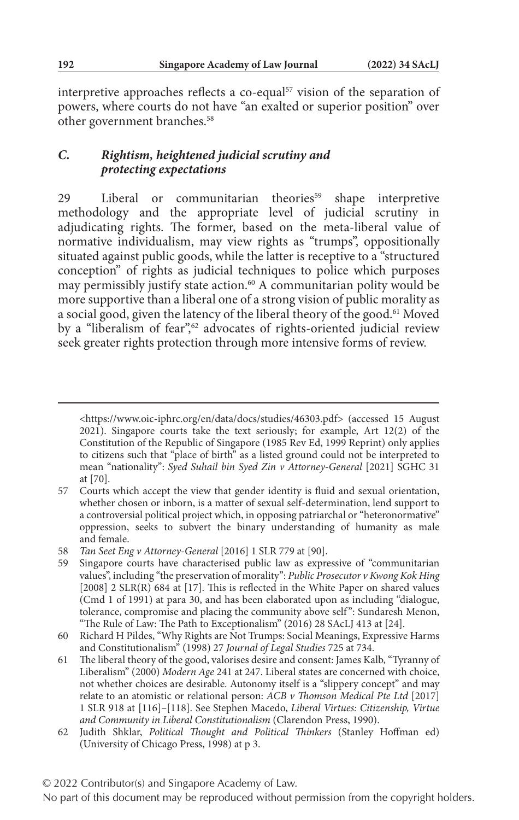interpretive approaches reflects a co-equal<sup>57</sup> vision of the separation of powers, where courts do not have "an exalted or superior position" over other government branches.<sup>58</sup>

#### *C. Rightism, heightened judicial scrutiny and protecting expectations*

29 Liberal or communitarian theories<sup>59</sup> shape interpretive methodology and the appropriate level of judicial scrutiny in adjudicating rights. The former, based on the meta-liberal value of normative individualism, may view rights as "trumps", oppositionally situated against public goods, while the latter is receptive to a "structured conception" of rights as judicial techniques to police which purposes may permissibly justify state action.<sup>60</sup> A communitarian polity would be more supportive than a liberal one of a strong vision of public morality as a social good, given the latency of the liberal theory of the good.<sup>61</sup> Moved by a "liberalism of fear",<sup>62</sup> advocates of rights-oriented judicial review seek greater rights protection through more intensive forms of review.

<sup>&</sup>lt;https://www.oic-iphrc.org/en/data/docs/studies/46303.pdf> (accessed 15 August 2021). Singapore courts take the text seriously; for example, Art 12(2) of the Constitution of the Republic of Singapore (1985 Rev Ed, 1999 Reprint) only applies to citizens such that "place of birth" as a listed ground could not be interpreted to mean "nationality": *Syed Suhail bin Syed Zin v Attorney-General* [2021] SGHC 31 at [70].

<sup>57</sup> Courts which accept the view that gender identity is fluid and sexual orientation, whether chosen or inborn, is a matter of sexual self-determination, lend support to a controversial political project which, in opposing patriarchal or "heteronormative" oppression, seeks to subvert the binary understanding of humanity as male and female.

<sup>58</sup> *Tan Seet Eng v Attorney-General* [2016] 1 SLR 779 at [90].

<sup>59</sup> Singapore courts have characterised public law as expressive of "communitarian values", including "the preservation of morality": *Public Prosecutor v Kwong Kok Hing* [2008] 2 SLR(R) 684 at [17]. This is reflected in the White Paper on shared values (Cmd 1 of 1991) at para 30, and has been elaborated upon as including "dialogue, tolerance, compromise and placing the community above self ": Sundaresh Menon, "The Rule of Law: The Path to Exceptionalism" (2016) 28 SAcLJ 413 at [24].

<sup>60</sup> Richard H Pildes, "Why Rights are Not Trumps: Social Meanings, Expressive Harms and Constitutionalism" (1998) 27 *Journal of Legal Studies* 725 at 734.

<sup>61</sup> The liberal theory of the good, valorises desire and consent: James Kalb, "Tyranny of Liberalism" (2000) *Modern Age* 241 at 247. Liberal states are concerned with choice, not whether choices are desirable. Autonomy itself is a "slippery concept" and may relate to an atomistic or relational person: *ACB v Thomson Medical Pte Ltd* [2017] 1 SLR 918 at [116]–[118]. See Stephen Macedo, *Liberal Virtues: Citizenship, Virtue and Community in Liberal Constitutionalism* (Clarendon Press, 1990).

<sup>62</sup> Judith Shklar, *Political Thought and Political Thinkers* (Stanley Hoffman ed) (University of Chicago Press, 1998) at p 3.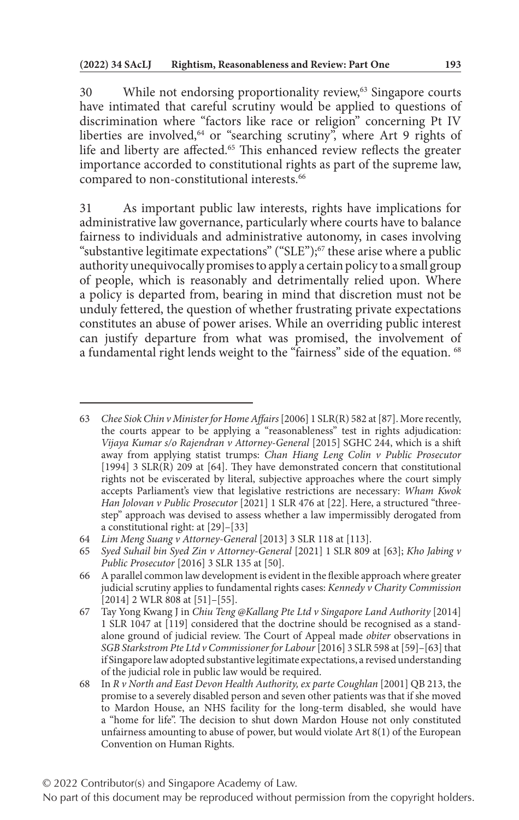30 While not endorsing proportionality review,<sup>63</sup> Singapore courts have intimated that careful scrutiny would be applied to questions of discrimination where "factors like race or religion" concerning Pt IV liberties are involved,<sup>64</sup> or "searching scrutiny", where Art 9 rights of life and liberty are affected.<sup>65</sup> This enhanced review reflects the greater importance accorded to constitutional rights as part of the supreme law, compared to non-constitutional interests.<sup>66</sup>

31 As important public law interests, rights have implications for administrative law governance, particularly where courts have to balance fairness to individuals and administrative autonomy, in cases involving "substantive legitimate expectations" ("SLE");<sup>67</sup> these arise where a public authority unequivocally promises to apply a certain policy to a small group of people, which is reasonably and detrimentally relied upon. Where a policy is departed from, bearing in mind that discretion must not be unduly fettered, the question of whether frustrating private expectations constitutes an abuse of power arises. While an overriding public interest can justify departure from what was promised, the involvement of a fundamental right lends weight to the "fairness" side of the equation. <sup>68</sup>

<sup>63</sup> *Chee Siok Chin v Minister for Home Affairs* [2006] 1 SLR(R) 582 at [87]. More recently, the courts appear to be applying a "reasonableness" test in rights adjudication: *Vijaya Kumar s/o Rajendran v Attorney-General* [2015] SGHC 244, which is a shift away from applying statist trumps: *Chan Hiang Leng Colin v Public Prosecutor* [1994] 3 SLR(R) 209 at [64]. They have demonstrated concern that constitutional rights not be eviscerated by literal, subjective approaches where the court simply accepts Parliament's view that legislative restrictions are necessary: *Wham Kwok Han Jolovan v Public Prosecutor* [2021] 1 SLR 476 at [22]. Here, a structured "threestep" approach was devised to assess whether a law impermissibly derogated from a constitutional right: at [29]–[33]

<sup>64</sup> *Lim Meng Suang v Attorney-General* [2013] 3 SLR 118 at [113].

<sup>65</sup> *Syed Suhail bin Syed Zin v Attorney-General* [2021] 1 SLR 809 at [63]; *Kho Jabing v Public Prosecutor* [2016] 3 SLR 135 at [50].

<sup>66</sup> A parallel common law development is evident in the flexible approach where greater judicial scrutiny applies to fundamental rights cases: *Kennedy v Charity Commission* [2014] 2 WLR 808 at [51]-[55].

<sup>67</sup> Tay Yong Kwang J in *Chiu Teng @Kallang Pte Ltd v Singapore Land Authority* [2014] 1 SLR 1047 at [119] considered that the doctrine should be recognised as a standalone ground of judicial review. The Court of Appeal made *obiter* observations in *SGB Starkstrom Pte Ltd v Commissioner for Labour* [2016] 3 SLR 598 at [59]–[63] that if Singapore law adopted substantive legitimate expectations, a revised understanding of the judicial role in public law would be required.

<sup>68</sup> In *R v North and East Devon Health Authority, ex parte Coughlan* [2001] QB 213, the promise to a severely disabled person and seven other patients was that if she moved to Mardon House, an NHS facility for the long-term disabled, she would have a "home for life". The decision to shut down Mardon House not only constituted unfairness amounting to abuse of power, but would violate Art 8(1) of the European Convention on Human Rights.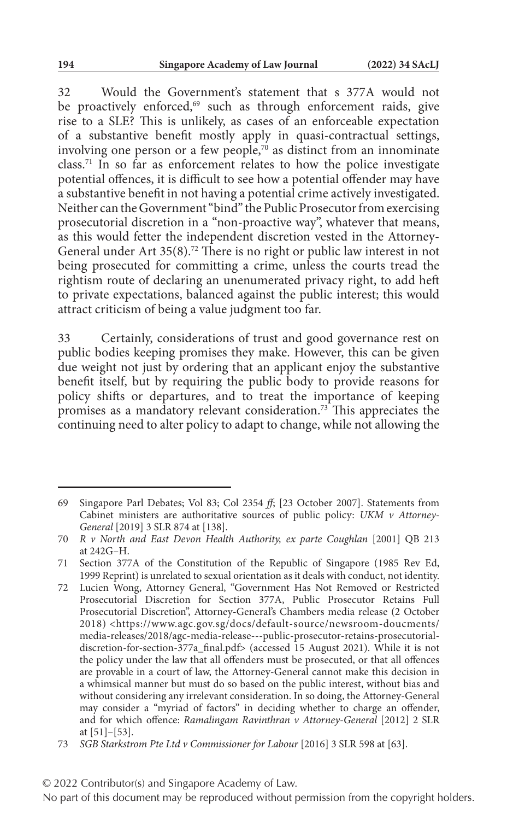32 Would the Government's statement that s 377A would not be proactively enforced,<sup>69</sup> such as through enforcement raids, give rise to a SLE? This is unlikely, as cases of an enforceable expectation of a substantive benefit mostly apply in quasi-contractual settings, involving one person or a few people, $\bar{z}$ <sup>'</sup> as distinct from an innominate class.71 In so far as enforcement relates to how the police investigate potential offences, it is difficult to see how a potential offender may have a substantive benefit in not having a potential crime actively investigated. Neither can the Government "bind" the Public Prosecutor from exercising prosecutorial discretion in a "non-proactive way", whatever that means, as this would fetter the independent discretion vested in the Attorney-General under Art 35(8).72 There is no right or public law interest in not being prosecuted for committing a crime, unless the courts tread the rightism route of declaring an unenumerated privacy right, to add heft to private expectations, balanced against the public interest; this would attract criticism of being a value judgment too far.

33 Certainly, considerations of trust and good governance rest on public bodies keeping promises they make. However, this can be given due weight not just by ordering that an applicant enjoy the substantive benefit itself, but by requiring the public body to provide reasons for policy shifts or departures, and to treat the importance of keeping promises as a mandatory relevant consideration.73 This appreciates the continuing need to alter policy to adapt to change, while not allowing the

<sup>69</sup> Singapore Parl Debates; Vol 83; Col 2354 *ff*; [23 October 2007]. Statements from Cabinet ministers are authoritative sources of public policy: *UKM v Attorney-General* [2019] 3 SLR 874 at [138].

<sup>70</sup> *R v North and East Devon Health Authority, ex parte Coughlan* [2001] QB 213 at 242G–H.

<sup>71</sup> Section 377A of the Constitution of the Republic of Singapore (1985 Rev Ed, 1999 Reprint) is unrelated to sexual orientation as it deals with conduct, not identity.

<sup>72</sup> Lucien Wong, Attorney General, "Government Has Not Removed or Restricted Prosecutorial Discretion for Section 377A, Public Prosecutor Retains Full Prosecutorial Discretion", Attorney-General's Chambers media release (2 October 2018) <https://www.agc.gov.sg/docs/default-source/newsroom-doucments/ media-releases/2018/agc-media-release---public-prosecutor-retains-prosecutorialdiscretion-for-section-377a\_final.pdf> (accessed 15 August 2021). While it is not the policy under the law that all offenders must be prosecuted, or that all offences are provable in a court of law, the Attorney-General cannot make this decision in a whimsical manner but must do so based on the public interest, without bias and without considering any irrelevant consideration. In so doing, the Attorney-General may consider a "myriad of factors" in deciding whether to charge an offender, and for which offence: *Ramalingam Ravinthran v Attorney-General* [2012] 2 SLR at  $[51]$ – $[53]$ .

<sup>73</sup> *SGB Starkstrom Pte Ltd v Commissioner for Labour* [2016] 3 SLR 598 at [63].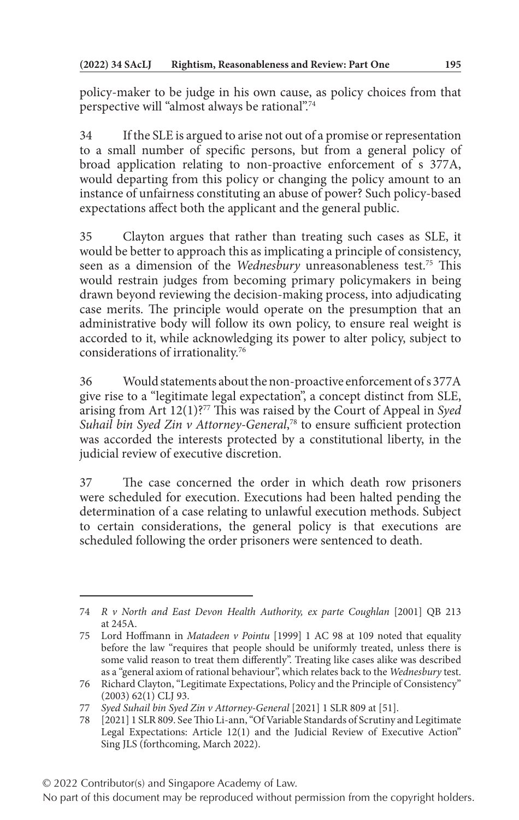policy-maker to be judge in his own cause, as policy choices from that perspective will "almost always be rational".74

34 If the SLE is argued to arise not out of a promise or representation to a small number of specific persons, but from a general policy of broad application relating to non-proactive enforcement of s 377A, would departing from this policy or changing the policy amount to an instance of unfairness constituting an abuse of power? Such policy-based expectations affect both the applicant and the general public.

35 Clayton argues that rather than treating such cases as SLE, it would be better to approach this as implicating a principle of consistency, seen as a dimension of the *Wednesbury* unreasonableness test.75 This would restrain judges from becoming primary policymakers in being drawn beyond reviewing the decision-making process, into adjudicating case merits. The principle would operate on the presumption that an administrative body will follow its own policy, to ensure real weight is accorded to it, while acknowledging its power to alter policy, subject to considerations of irrationality.76

36 Would statements about the non-proactive enforcement of s 377A give rise to a "legitimate legal expectation", a concept distinct from SLE, arising from Art 12(1)?77 This was raised by the Court of Appeal in *Syed Suhail bin Syed Zin v Attorney-General*, 78 to ensure sufficient protection was accorded the interests protected by a constitutional liberty, in the judicial review of executive discretion.

37 The case concerned the order in which death row prisoners were scheduled for execution. Executions had been halted pending the determination of a case relating to unlawful execution methods. Subject to certain considerations, the general policy is that executions are scheduled following the order prisoners were sentenced to death.

<sup>74</sup> *R v North and East Devon Health Authority, ex parte Coughlan* [2001] QB 213 at 245A.

<sup>75</sup> Lord Hoffmann in *Matadeen v Pointu* [1999] 1 AC 98 at 109 noted that equality before the law "requires that people should be uniformly treated, unless there is some valid reason to treat them differently". Treating like cases alike was described as a "general axiom of rational behaviour", which relates back to the *Wednesbury* test.

<sup>76</sup> Richard Clayton, "Legitimate Expectations, Policy and the Principle of Consistency"  $(2003)$  62(1) CLJ 93.

<sup>77</sup> *Syed Suhail bin Syed Zin v Attorney-General* [2021] 1 SLR 809 at [51].

<sup>78</sup> [2021] 1 SLR 809. See Thio Li-ann, "Of Variable Standards of Scrutiny and Legitimate Legal Expectations: Article 12(1) and the Judicial Review of Executive Action" Sing JLS (forthcoming, March 2022).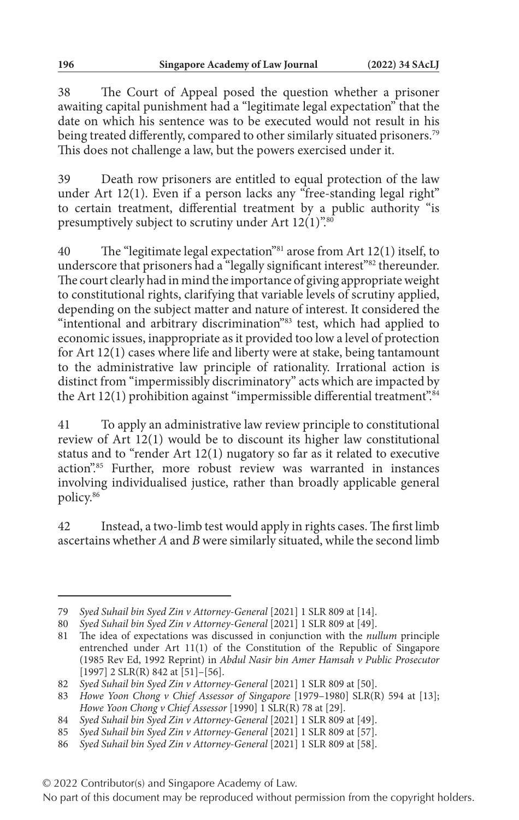38 The Court of Appeal posed the question whether a prisoner awaiting capital punishment had a "legitimate legal expectation" that the date on which his sentence was to be executed would not result in his being treated differently, compared to other similarly situated prisoners.<sup>79</sup> This does not challenge a law, but the powers exercised under it.

39 Death row prisoners are entitled to equal protection of the law under Art 12(1). Even if a person lacks any "free-standing legal right" to certain treatment, differential treatment by a public authority "is presumptively subject to scrutiny under Art  $12(1)$ ".<sup>80</sup>

40 The "legitimate legal expectation"81 arose from Art 12(1) itself, to underscore that prisoners had a "legally significant interest"<sup>82</sup> thereunder. The court clearly had in mind the importance of giving appropriate weight to constitutional rights, clarifying that variable levels of scrutiny applied, depending on the subject matter and nature of interest. It considered the "intentional and arbitrary discrimination"83 test, which had applied to economic issues, inappropriate as it provided too low a level of protection for Art 12(1) cases where life and liberty were at stake, being tantamount to the administrative law principle of rationality. Irrational action is distinct from "impermissibly discriminatory" acts which are impacted by the Art  $12(1)$  prohibition against "impermissible differential treatment".<sup>84</sup>

41 To apply an administrative law review principle to constitutional review of Art 12(1) would be to discount its higher law constitutional status and to "render Art 12(1) nugatory so far as it related to executive action".85 Further, more robust review was warranted in instances involving individualised justice, rather than broadly applicable general policy.86

42 Instead, a two-limb test would apply in rights cases. The first limb ascertains whether *A* and *B* were similarly situated, while the second limb

<sup>79</sup> *Syed Suhail bin Syed Zin v Attorney-General* [2021] 1 SLR 809 at [14].

<sup>80</sup> *Syed Suhail bin Syed Zin v Attorney-General* [2021] 1 SLR 809 at [49].

<sup>81</sup> The idea of expectations was discussed in conjunction with the *nullum* principle entrenched under Art 11(1) of the Constitution of the Republic of Singapore (1985 Rev Ed, 1992 Reprint) in *Abdul Nasir bin Amer Hamsah v Public Prosecutor*  $[1997]$  2 SLR(R) 842 at  $[51]$ – $[56]$ .

<sup>82</sup> *Syed Suhail bin Syed Zin v Attorney-General* [2021] 1 SLR 809 at [50].

<sup>83</sup> *Howe Yoon Chong v Chief Assessor of Singapore* [1979–1980] SLR(R) 594 at [13]; *Howe Yoon Chong v Chief Assessor* [1990] 1 SLR(R) 78 at [29].

<sup>84</sup> *Syed Suhail bin Syed Zin v Attorney-General* [2021] 1 SLR 809 at [49].

<sup>85</sup> *Syed Suhail bin Syed Zin v Attorney-General* [2021] 1 SLR 809 at [57].

<sup>86</sup> *Syed Suhail bin Syed Zin v Attorney-General* [2021] 1 SLR 809 at [58].

<sup>© 2022</sup> Contributor(s) and Singapore Academy of Law.

No part of this document may be reproduced without permission from the copyright holders.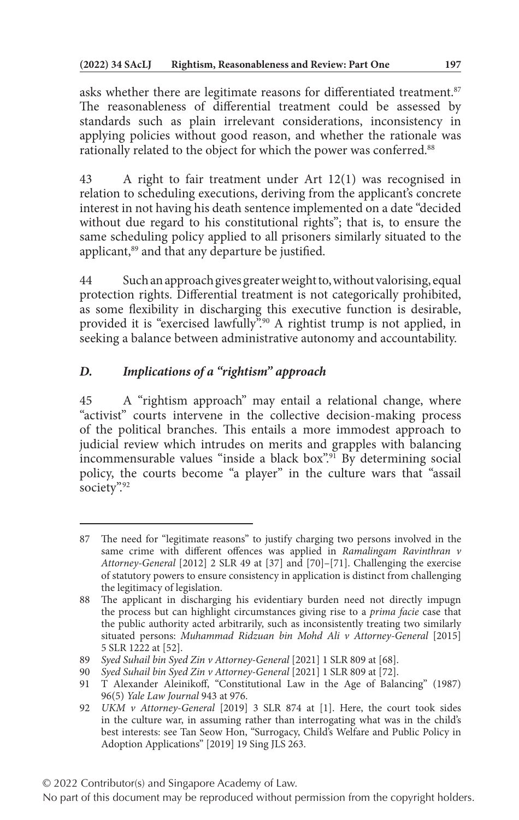asks whether there are legitimate reasons for differentiated treatment.<sup>87</sup> The reasonableness of differential treatment could be assessed by standards such as plain irrelevant considerations, inconsistency in applying policies without good reason, and whether the rationale was rationally related to the object for which the power was conferred.<sup>88</sup>

43 A right to fair treatment under Art 12(1) was recognised in relation to scheduling executions, deriving from the applicant's concrete interest in not having his death sentence implemented on a date "decided without due regard to his constitutional rights"; that is, to ensure the same scheduling policy applied to all prisoners similarly situated to the applicant,<sup>89</sup> and that any departure be justified.

44 Such an approach gives greater weight to, without valorising, equal protection rights. Differential treatment is not categorically prohibited, as some flexibility in discharging this executive function is desirable, provided it is "exercised lawfully".<sup>90</sup> A rightist trump is not applied, in seeking a balance between administrative autonomy and accountability.

# *D. Implications of a "rightism" approach*

45 A "rightism approach" may entail a relational change, where "activist" courts intervene in the collective decision-making process of the political branches. This entails a more immodest approach to judicial review which intrudes on merits and grapples with balancing incommensurable values "inside a black box".91 By determining social policy, the courts become "a player" in the culture wars that "assail society".92

<sup>87</sup> The need for "legitimate reasons" to justify charging two persons involved in the same crime with different offences was applied in *Ramalingam Ravinthran v Attorney-General* [2012] 2 SLR 49 at [37] and [70]–[71]. Challenging the exercise of statutory powers to ensure consistency in application is distinct from challenging the legitimacy of legislation.

<sup>88</sup> The applicant in discharging his evidentiary burden need not directly impugn the process but can highlight circumstances giving rise to a *prima facie* case that the public authority acted arbitrarily, such as inconsistently treating two similarly situated persons: *Muhammad Ridzuan bin Mohd Ali v Attorney-General* [2015] 5 SLR 1222 at [52].

<sup>89</sup> *Syed Suhail bin Syed Zin v Attorney-General* [2021] 1 SLR 809 at [68].

<sup>90</sup> *Syed Suhail bin Syed Zin v Attorney-General* [2021] 1 SLR 809 at [72].

<sup>91</sup> T Alexander Aleinikoff, "Constitutional Law in the Age of Balancing" (1987) 96(5) *Yale Law Journal* 943 at 976.

<sup>92</sup> *UKM v Attorney-General* [2019] 3 SLR 874 at [1]. Here, the court took sides in the culture war, in assuming rather than interrogating what was in the child's best interests: see Tan Seow Hon, "Surrogacy, Child's Welfare and Public Policy in Adoption Applications" [2019] 19 Sing JLS 263.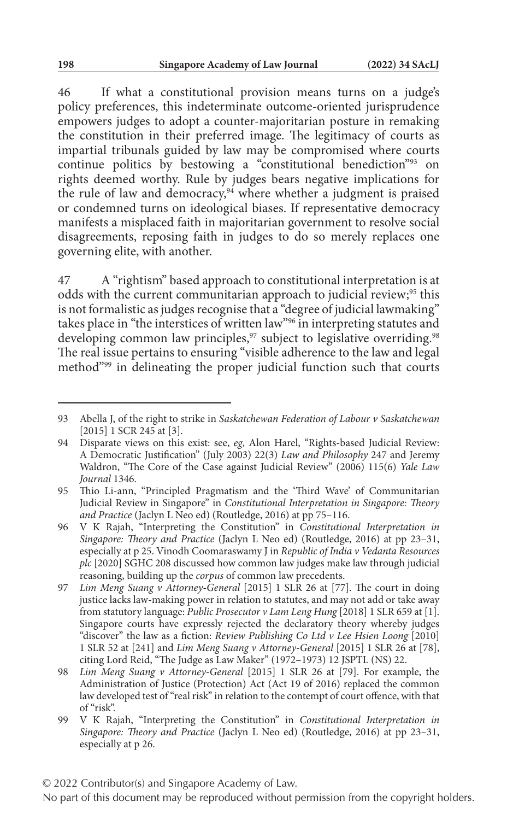46 If what a constitutional provision means turns on a judge's policy preferences, this indeterminate outcome-oriented jurisprudence empowers judges to adopt a counter-majoritarian posture in remaking the constitution in their preferred image. The legitimacy of courts as impartial tribunals guided by law may be compromised where courts continue politics by bestowing a "constitutional benediction"93 on rights deemed worthy. Rule by judges bears negative implications for the rule of law and democracy,  $94$  where whether a judgment is praised or condemned turns on ideological biases. If representative democracy manifests a misplaced faith in majoritarian government to resolve social disagreements, reposing faith in judges to do so merely replaces one governing elite, with another.

47 A "rightism" based approach to constitutional interpretation is at odds with the current communitarian approach to judicial review;<sup>95</sup> this is not formalistic as judges recognise that a "degree of judicial lawmaking" takes place in "the interstices of written law"96 in interpreting statutes and developing common law principles,<sup>97</sup> subject to legislative overriding.<sup>98</sup> The real issue pertains to ensuring "visible adherence to the law and legal method"99 in delineating the proper judicial function such that courts

© 2022 Contributor(s) and Singapore Academy of Law.

<sup>93</sup> Abella J, of the right to strike in *Saskatchewan Federation of Labour v Saskatchewan* [2015] 1 SCR 245 at [3].

<sup>94</sup> Disparate views on this exist: see, *eg*, Alon Harel, "Rights-based Judicial Review: A Democratic Justification" (July 2003) 22(3) *Law and Philosophy* 247 and Jeremy Waldron, "The Core of the Case against Judicial Review" (2006) 115(6) *Yale Law Journal* 1346.

<sup>95</sup> Thio Li-ann, "Principled Pragmatism and the 'Third Wave' of Communitarian Judicial Review in Singapore" in *Constitutional Interpretation in Singapore: Theory and Practice* (Jaclyn L Neo ed) (Routledge, 2016) at pp 75–116.

<sup>96</sup> V K Rajah, "Interpreting the Constitution" in *Constitutional Interpretation in Singapore: Theory and Practice* (Jaclyn L Neo ed) (Routledge, 2016) at pp 23–31, especially at p 25. Vinodh Coomaraswamy J in *Republic of India v Vedanta Resources plc* [2020] SGHC 208 discussed how common law judges make law through judicial reasoning, building up the *corpus* of common law precedents.

<sup>97</sup> *Lim Meng Suang v Attorney-General* [2015] 1 SLR 26 at [77]. The court in doing justice lacks law-making power in relation to statutes, and may not add or take away from statutory language: *Public Prosecutor v Lam Leng Hung* [2018] 1 SLR 659 at [1]. Singapore courts have expressly rejected the declaratory theory whereby judges "discover" the law as a fiction: *Review Publishing Co Ltd v Lee Hsien Loong* [2010] 1 SLR 52 at [241] and *Lim Meng Suang v Attorney-General* [2015] 1 SLR 26 at [78], citing Lord Reid, "The Judge as Law Maker" (1972–1973) 12 JSPTL (NS) 22.

<sup>98</sup> *Lim Meng Suang v Attorney-General* [2015] 1 SLR 26 at [79]. For example, the Administration of Justice (Protection) Act (Act 19 of 2016) replaced the common law developed test of "real risk" in relation to the contempt of court offence, with that of "risk".

<sup>99</sup> V K Rajah, "Interpreting the Constitution" in *Constitutional Interpretation in Singapore: Theory and Practice* (Jaclyn L Neo ed) (Routledge, 2016) at pp 23–31, especially at p 26.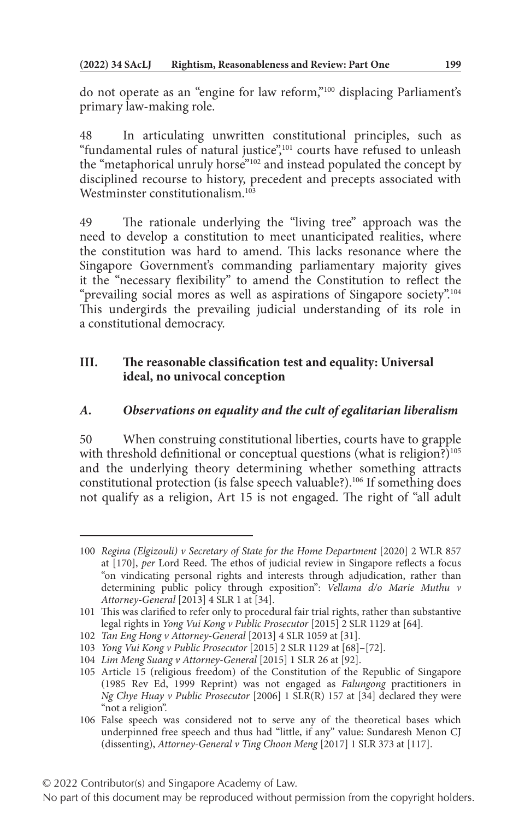do not operate as an "engine for law reform,"100 displacing Parliament's primary law-making role.

48 In articulating unwritten constitutional principles, such as "fundamental rules of natural justice",<sup>101</sup> courts have refused to unleash the "metaphorical unruly horse"<sup>102</sup> and instead populated the concept by disciplined recourse to history, precedent and precepts associated with Westminster constitutionalism.<sup>103</sup>

49 The rationale underlying the "living tree" approach was the need to develop a constitution to meet unanticipated realities, where the constitution was hard to amend. This lacks resonance where the Singapore Government's commanding parliamentary majority gives it the "necessary flexibility" to amend the Constitution to reflect the "prevailing social mores as well as aspirations of Singapore society".<sup>104</sup> This undergirds the prevailing judicial understanding of its role in a constitutional democracy.

## **III. The reasonable classification test and equality: Universal ideal, no univocal conception**

## *A. Observations on equality and the cult of egalitarian liberalism*

50 When construing constitutional liberties, courts have to grapple with threshold definitional or conceptual questions (what is religion?)<sup>105</sup> and the underlying theory determining whether something attracts constitutional protection (is false speech valuable?).<sup>106</sup> If something does not qualify as a religion, Art 15 is not engaged. The right of "all adult

<sup>100</sup> *Regina (Elgizouli) v Secretary of State for the Home Department* [2020] 2 WLR 857 at [170], *per* Lord Reed. The ethos of judicial review in Singapore reflects a focus "on vindicating personal rights and interests through adjudication, rather than determining public policy through exposition": *Vellama d/o Marie Muthu v Attorney-General* [2013] 4 SLR 1 at [34].

<sup>101</sup> This was clarified to refer only to procedural fair trial rights, rather than substantive legal rights in *Yong Vui Kong v Public Prosecutor* [2015] 2 SLR 1129 at [64].

<sup>102</sup> *Tan Eng Hong v Attorney-General* [2013] 4 SLR 1059 at [31].

<sup>103</sup> *Yong Vui Kong v Public Prosecutor* [2015] 2 SLR 1129 at [68]–[72].

<sup>104</sup> *Lim Meng Suang v Attorney-General* [2015] 1 SLR 26 at [92].

<sup>105</sup> Article 15 (religious freedom) of the Constitution of the Republic of Singapore (1985 Rev Ed, 1999 Reprint) was not engaged as *Falungong* practitioners in *Ng Chye Huay v Public Prosecutor* [2006] 1 SLR(R) 157 at [34] declared they were "not a religion".

<sup>106</sup> False speech was considered not to serve any of the theoretical bases which underpinned free speech and thus had "little, if any" value: Sundaresh Menon CJ (dissenting), *Attorney-General v Ting Choon Meng* [2017] 1 SLR 373 at [117].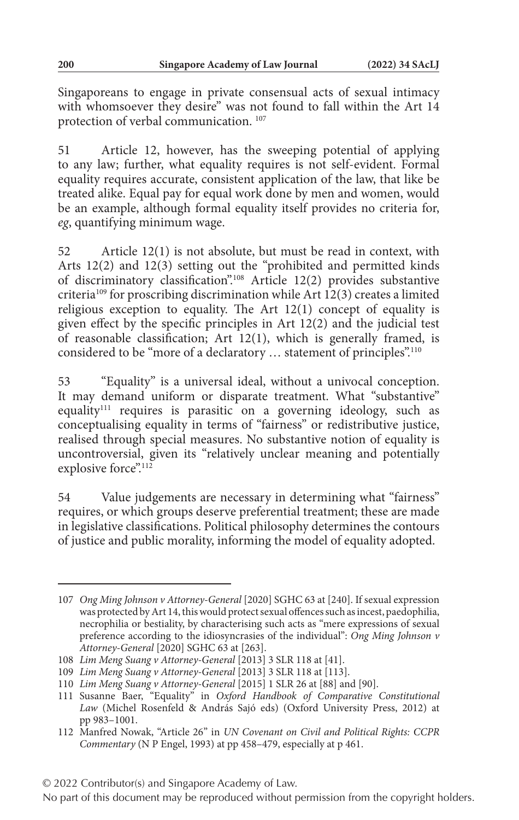Singaporeans to engage in private consensual acts of sexual intimacy with whomsoever they desire" was not found to fall within the Art 14 protection of verbal communication. 107

51 Article 12, however, has the sweeping potential of applying to any law; further, what equality requires is not self-evident. Formal equality requires accurate, consistent application of the law, that like be treated alike. Equal pay for equal work done by men and women, would be an example, although formal equality itself provides no criteria for, *eg*, quantifying minimum wage.

52 Article 12(1) is not absolute, but must be read in context, with Arts 12(2) and 12(3) setting out the "prohibited and permitted kinds of discriminatory classification".108 Article 12(2) provides substantive criteria<sup>109</sup> for proscribing discrimination while Art  $12(3)$  creates a limited religious exception to equality. The Art 12(1) concept of equality is given effect by the specific principles in Art 12(2) and the judicial test of reasonable classification; Art 12(1), which is generally framed, is considered to be "more of a declaratory ... statement of principles".<sup>110</sup>

53 "Equality" is a universal ideal, without a univocal conception. It may demand uniform or disparate treatment. What "substantive" equality<sup>111</sup> requires is parasitic on a governing ideology, such as conceptualising equality in terms of "fairness" or redistributive justice, realised through special measures. No substantive notion of equality is uncontroversial, given its "relatively unclear meaning and potentially explosive force".<sup>112</sup>

54 Value judgements are necessary in determining what "fairness" requires, or which groups deserve preferential treatment; these are made in legislative classifications. Political philosophy determines the contours of justice and public morality, informing the model of equality adopted.

<sup>107</sup> *Ong Ming Johnson v Attorney-General* [2020] SGHC 63 at [240]. If sexual expression was protected by Art 14, this would protect sexual offences such as incest, paedophilia, necrophilia or bestiality, by characterising such acts as "mere expressions of sexual preference according to the idiosyncrasies of the individual": *Ong Ming Johnson v Attorney-General* [2020] SGHC 63 at [263].

<sup>108</sup> *Lim Meng Suang v Attorney-General* [2013] 3 SLR 118 at [41].

<sup>109</sup> *Lim Meng Suang v Attorney-General* [2013] 3 SLR 118 at [113].

<sup>110</sup> *Lim Meng Suang v Attorney-General* [2015] 1 SLR 26 at [88] and [90].

<sup>111</sup> Susanne Baer, "Equality" in *Oxford Handbook of Comparative Constitutional Law* (Michel Rosenfeld & András Sajó eds) (Oxford University Press, 2012) at pp 983–1001.

<sup>112</sup> Manfred Nowak, "Article 26" in *UN Covenant on Civil and Political Rights: CCPR Commentary* (N P Engel, 1993) at pp 458–479, especially at p 461.

No part of this document may be reproduced without permission from the copyright holders.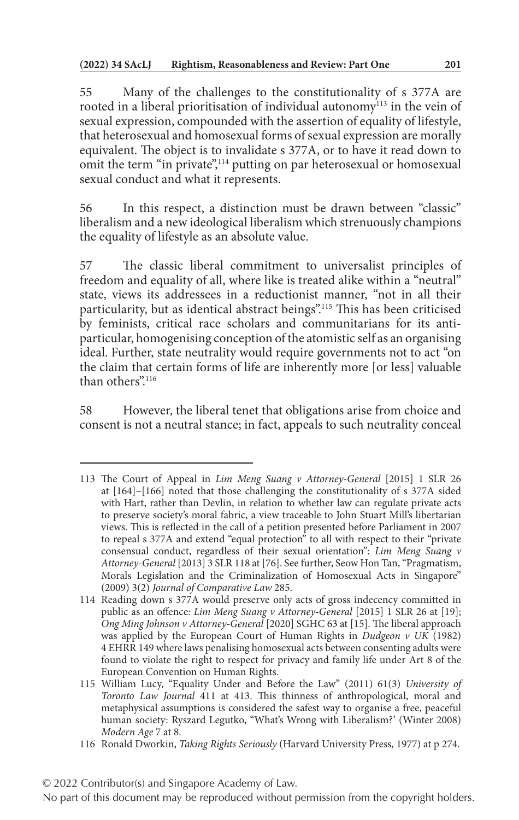55 Many of the challenges to the constitutionality of s 377A are rooted in a liberal prioritisation of individual autonomy<sup>113</sup> in the vein of sexual expression, compounded with the assertion of equality of lifestyle, that heterosexual and homosexual forms of sexual expression are morally equivalent. The object is to invalidate s 377A, or to have it read down to omit the term "in private",<sup>114</sup> putting on par heterosexual or homosexual sexual conduct and what it represents.

56 In this respect, a distinction must be drawn between "classic" liberalism and a new ideological liberalism which strenuously champions the equality of lifestyle as an absolute value.

57 The classic liberal commitment to universalist principles of freedom and equality of all, where like is treated alike within a "neutral" state, views its addressees in a reductionist manner, "not in all their particularity, but as identical abstract beings".115 This has been criticised by feminists, critical race scholars and communitarians for its antiparticular, homogenising conception of the atomistic self as an organising ideal. Further, state neutrality would require governments not to act "on the claim that certain forms of life are inherently more [or less] valuable than others"<sup>116</sup>

58 However, the liberal tenet that obligations arise from choice and consent is not a neutral stance; in fact, appeals to such neutrality conceal

<sup>113</sup> The Court of Appeal in *Lim Meng Suang v Attorney-General* [2015] 1 SLR 26 at [164]–[166] noted that those challenging the constitutionality of s 377A sided with Hart, rather than Devlin, in relation to whether law can regulate private acts to preserve society's moral fabric, a view traceable to John Stuart Mill's libertarian views. This is reflected in the call of a petition presented before Parliament in 2007 to repeal s 377A and extend "equal protection" to all with respect to their "private consensual conduct, regardless of their sexual orientation": *Lim Meng Suang v Attorney-General* [2013] 3 SLR 118 at [76]. See further, Seow Hon Tan, "Pragmatism, Morals Legislation and the Criminalization of Homosexual Acts in Singapore" (2009) 3(2) *Journal of Comparative Law* 285.

<sup>114</sup> Reading down s 377A would preserve only acts of gross indecency committed in public as an offence: *Lim Meng Suang v Attorney-General* [2015] 1 SLR 26 at [19]; *Ong Ming Johnson v Attorney-General* [2020] SGHC 63 at [15]. The liberal approach was applied by the European Court of Human Rights in *Dudgeon v UK* (1982) 4 EHRR 149 where laws penalising homosexual acts between consenting adults were found to violate the right to respect for privacy and family life under Art 8 of the European Convention on Human Rights.

<sup>115</sup> William Lucy, "Equality Under and Before the Law" (2011) 61(3) *University of Toronto Law Journal* 411 at 413. This thinness of anthropological, moral and metaphysical assumptions is considered the safest way to organise a free, peaceful human society: Ryszard Legutko, "What's Wrong with Liberalism?' (Winter 2008) *Modern Age* 7 at 8.

<sup>116</sup> Ronald Dworkin, *Taking Rights Seriously* (Harvard University Press, 1977) at p 274.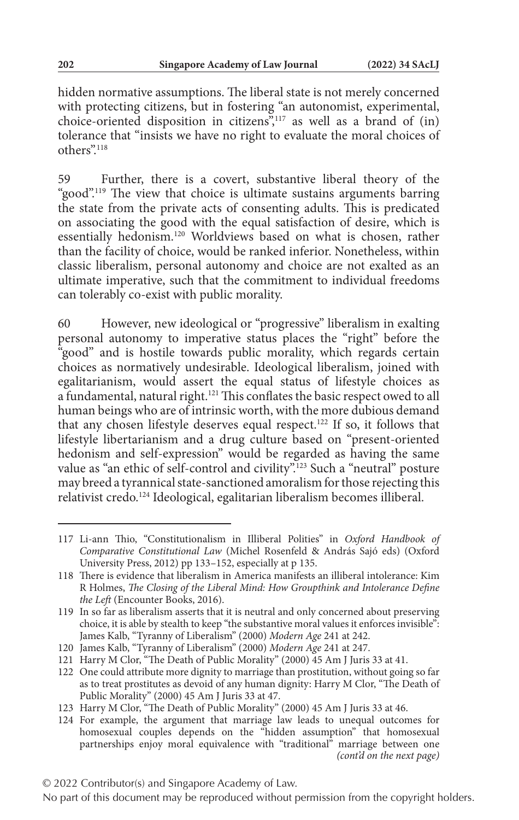hidden normative assumptions. The liberal state is not merely concerned with protecting citizens, but in fostering "an autonomist, experimental, choice-oriented disposition in citizens",117 as well as a brand of (in) tolerance that "insists we have no right to evaluate the moral choices of others".118

59 Further, there is a covert, substantive liberal theory of the "good".<sup>119</sup> The view that choice is ultimate sustains arguments barring the state from the private acts of consenting adults. This is predicated on associating the good with the equal satisfaction of desire, which is essentially hedonism.120 Worldviews based on what is chosen, rather than the facility of choice, would be ranked inferior. Nonetheless, within classic liberalism, personal autonomy and choice are not exalted as an ultimate imperative, such that the commitment to individual freedoms can tolerably co-exist with public morality.

60 However, new ideological or "progressive" liberalism in exalting personal autonomy to imperative status places the "right" before the "good" and is hostile towards public morality, which regards certain choices as normatively undesirable. Ideological liberalism, joined with egalitarianism, would assert the equal status of lifestyle choices as a fundamental, natural right.121 This conflates the basic respect owed to all human beings who are of intrinsic worth, with the more dubious demand that any chosen lifestyle deserves equal respect.<sup>122</sup> If so, it follows that lifestyle libertarianism and a drug culture based on "present-oriented hedonism and self-expression" would be regarded as having the same value as "an ethic of self-control and civility".<sup>123</sup> Such a "neutral" posture may breed a tyrannical state-sanctioned amoralism for those rejecting this relativist credo.124 Ideological, egalitarian liberalism becomes illiberal.

<sup>117</sup> Li-ann Thio, "Constitutionalism in Illiberal Polities" in *Oxford Handbook of Comparative Constitutional Law* (Michel Rosenfeld & András Sajó eds) (Oxford University Press, 2012) pp 133–152, especially at p 135.

<sup>118</sup> There is evidence that liberalism in America manifests an illiberal intolerance: Kim R Holmes, *The Closing of the Liberal Mind: How Groupthink and Intolerance Define the Left* (Encounter Books, 2016).

<sup>119</sup> In so far as liberalism asserts that it is neutral and only concerned about preserving choice, it is able by stealth to keep "the substantive moral values it enforces invisible": James Kalb, "Tyranny of Liberalism" (2000) *Modern Age* 241 at 242.

<sup>120</sup> James Kalb, "Tyranny of Liberalism" (2000) *Modern Age* 241 at 247.

<sup>121</sup> Harry M Clor, "The Death of Public Morality" (2000) 45 Am J Juris 33 at 41.

<sup>122</sup> One could attribute more dignity to marriage than prostitution, without going so far as to treat prostitutes as devoid of any human dignity: Harry M Clor, "The Death of Public Morality" (2000) 45 Am J Juris 33 at 47.

<sup>123</sup> Harry M Clor, "The Death of Public Morality" (2000) 45 Am J Juris 33 at 46.

<sup>124</sup> For example, the argument that marriage law leads to unequal outcomes for homosexual couples depends on the "hidden assumption" that homosexual partnerships enjoy moral equivalence with "traditional" marriage between one *(cont'd on the next page)*

No part of this document may be reproduced without permission from the copyright holders.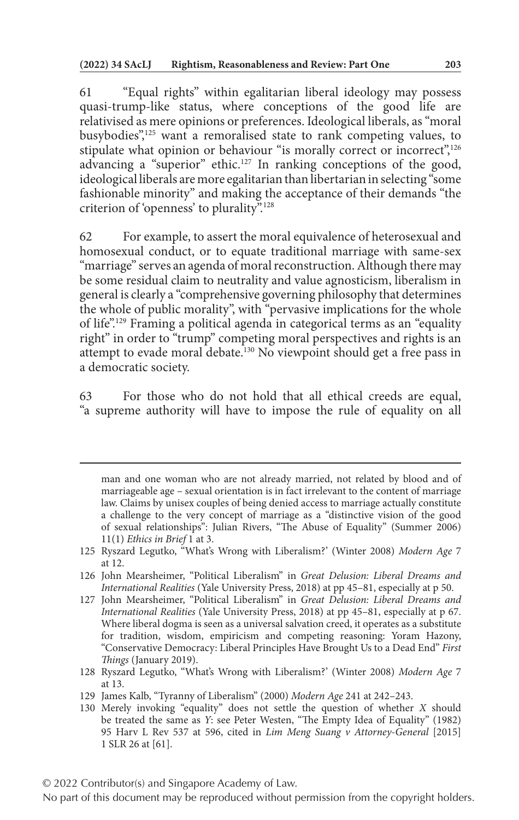61 "Equal rights" within egalitarian liberal ideology may possess quasi-trump-like status, where conceptions of the good life are relativised as mere opinions or preferences. Ideological liberals, as "moral busybodies",<sup>125</sup> want a remoralised state to rank competing values, to stipulate what opinion or behaviour "is morally correct or incorrect",<sup>126</sup> advancing a "superior" ethic.<sup>127</sup> In ranking conceptions of the good, ideological liberals are more egalitarian than libertarian in selecting "some fashionable minority" and making the acceptance of their demands "the criterion of 'openness' to plurality".128

62 For example, to assert the moral equivalence of heterosexual and homosexual conduct, or to equate traditional marriage with same-sex "marriage" serves an agenda of moral reconstruction. Although there may be some residual claim to neutrality and value agnosticism, liberalism in general is clearly a "comprehensive governing philosophy that determines the whole of public morality", with "pervasive implications for the whole of life".129 Framing a political agenda in categorical terms as an "equality right" in order to "trump" competing moral perspectives and rights is an attempt to evade moral debate.130 No viewpoint should get a free pass in a democratic society.

63 For those who do not hold that all ethical creeds are equal, "a supreme authority will have to impose the rule of equality on all

- 128 Ryszard Legutko, "What's Wrong with Liberalism?' (Winter 2008) *Modern Age* 7 at 13.
- 129 James Kalb, "Tyranny of Liberalism" (2000) *Modern Age* 241 at 242–243.
- 130 Merely invoking "equality" does not settle the question of whether *X* should be treated the same as *Y*: see Peter Westen, "The Empty Idea of Equality" (1982) 95 Harv L Rev 537 at 596, cited in *Lim Meng Suang v Attorney-General* [2015] 1 SLR 26 at [61].

man and one woman who are not already married, not related by blood and of marriageable age – sexual orientation is in fact irrelevant to the content of marriage law. Claims by unisex couples of being denied access to marriage actually constitute a challenge to the very concept of marriage as a "distinctive vision of the good of sexual relationships": Julian Rivers, "The Abuse of Equality" (Summer 2006) 11(1) *Ethics in Brief* 1 at 3.

<sup>125</sup> Ryszard Legutko, "What's Wrong with Liberalism?' (Winter 2008) *Modern Age* 7 at 12.

<sup>126</sup> John Mearsheimer, "Political Liberalism" in *Great Delusion: Liberal Dreams and International Realities* (Yale University Press, 2018) at pp 45–81, especially at p 50.

<sup>127</sup> John Mearsheimer, "Political Liberalism" in *Great Delusion: Liberal Dreams and International Realities* (Yale University Press, 2018) at pp 45–81, especially at p 67. Where liberal dogma is seen as a universal salvation creed, it operates as a substitute for tradition, wisdom, empiricism and competing reasoning: Yoram Hazony, "Conservative Democracy: Liberal Principles Have Brought Us to a Dead End" *First Things* (January 2019).

No part of this document may be reproduced without permission from the copyright holders.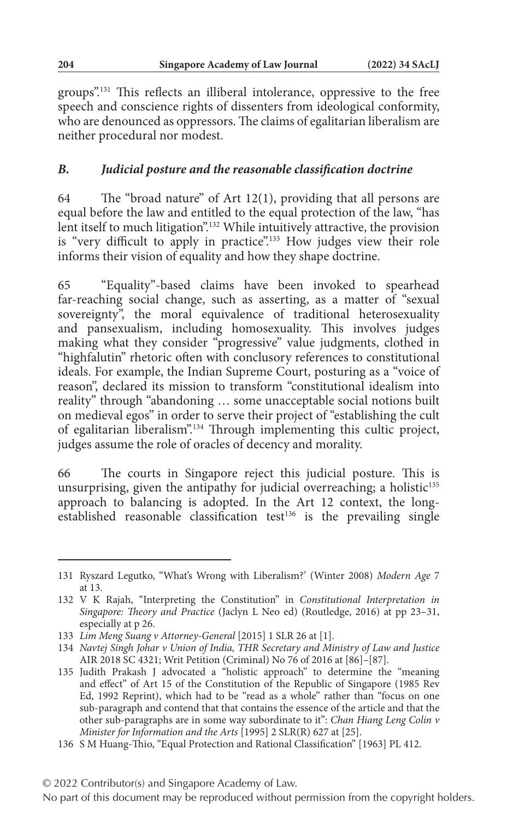groups".131 This reflects an illiberal intolerance, oppressive to the free speech and conscience rights of dissenters from ideological conformity, who are denounced as oppressors. The claims of egalitarian liberalism are neither procedural nor modest.

### *B. Judicial posture and the reasonable classification doctrine*

64 The "broad nature" of Art 12(1), providing that all persons are equal before the law and entitled to the equal protection of the law, "has lent itself to much litigation".<sup>132</sup> While intuitively attractive, the provision is "very difficult to apply in practice".<sup>133</sup> How judges view their role informs their vision of equality and how they shape doctrine.

65 "Equality"-based claims have been invoked to spearhead far-reaching social change, such as asserting, as a matter of "sexual sovereignty", the moral equivalence of traditional heterosexuality and pansexualism, including homosexuality. This involves judges making what they consider "progressive" value judgments, clothed in "highfalutin" rhetoric often with conclusory references to constitutional ideals. For example, the Indian Supreme Court, posturing as a "voice of reason", declared its mission to transform "constitutional idealism into reality" through "abandoning … some unacceptable social notions built on medieval egos" in order to serve their project of "establishing the cult of egalitarian liberalism".134 Through implementing this cultic project, judges assume the role of oracles of decency and morality.

66 The courts in Singapore reject this judicial posture. This is unsurprising, given the antipathy for judicial overreaching; a holistic<sup>135</sup> approach to balancing is adopted. In the Art 12 context, the longestablished reasonable classification test<sup>136</sup> is the prevailing single

<sup>131</sup> Ryszard Legutko, "What's Wrong with Liberalism?' (Winter 2008) *Modern Age* 7 at 13.

<sup>132</sup> V K Rajah, "Interpreting the Constitution" in *Constitutional Interpretation in Singapore: Theory and Practice* (Jaclyn L Neo ed) (Routledge, 2016) at pp 23–31, especially at p 26.

<sup>133</sup> *Lim Meng Suang v Attorney-General* [2015] 1 SLR 26 at [1].

<sup>134</sup> *Navtej Singh Johar v Union of India, THR Secretary and Ministry of Law and Justice* AIR 2018 SC 4321; Writ Petition (Criminal) No 76 of 2016 at [86]–[87].

<sup>135</sup> Judith Prakash J advocated a "holistic approach" to determine the "meaning and effect" of Art 15 of the Constitution of the Republic of Singapore (1985 Rev Ed, 1992 Reprint), which had to be "read as a whole" rather than "focus on one sub-paragraph and contend that that contains the essence of the article and that the other sub-paragraphs are in some way subordinate to it": *Chan Hiang Leng Colin v Minister for Information and the Arts* [1995] 2 SLR(R) 627 at [25].

<sup>136</sup> S M Huang-Thio, "Equal Protection and Rational Classification" [1963] PL 412.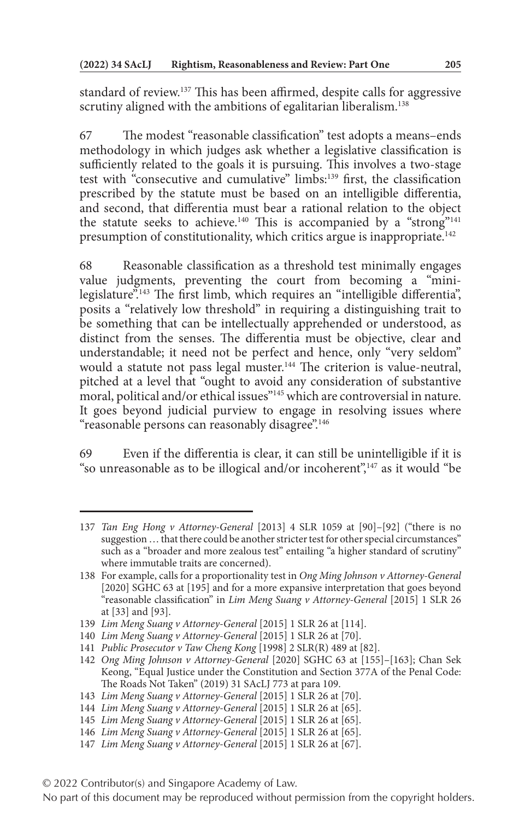standard of review.137 This has been affirmed, despite calls for aggressive scrutiny aligned with the ambitions of egalitarian liberalism.<sup>138</sup>

67 The modest "reasonable classification" test adopts a means–ends methodology in which judges ask whether a legislative classification is sufficiently related to the goals it is pursuing. This involves a two-stage test with "consecutive and cumulative" limbs:<sup>139</sup> first, the classification prescribed by the statute must be based on an intelligible differentia, and second, that differentia must bear a rational relation to the object the statute seeks to achieve.<sup>140</sup> This is accompanied by a "strong"<sup>141</sup> presumption of constitutionality, which critics argue is inappropriate.<sup>142</sup>

68 Reasonable classification as a threshold test minimally engages value judgments, preventing the court from becoming a "minilegislature".<sup>143</sup> The first limb, which requires an "intelligible differentia", posits a "relatively low threshold" in requiring a distinguishing trait to be something that can be intellectually apprehended or understood, as distinct from the senses. The differentia must be objective, clear and understandable; it need not be perfect and hence, only "very seldom" would a statute not pass legal muster.<sup>144</sup> The criterion is value-neutral, pitched at a level that "ought to avoid any consideration of substantive moral, political and/or ethical issues"<sup>145</sup> which are controversial in nature. It goes beyond judicial purview to engage in resolving issues where "reasonable persons can reasonably disagree".<sup>146</sup>

69 Even if the differentia is clear, it can still be unintelligible if it is "so unreasonable as to be illogical and/or incoherent", $147$  as it would "be

<sup>137</sup> *Tan Eng Hong v Attorney-General* [2013] 4 SLR 1059 at [90]–[92] ("there is no suggestion … that there could be another stricter test for other special circumstances" such as a "broader and more zealous test" entailing "a higher standard of scrutiny" where immutable traits are concerned).

<sup>138</sup> For example, calls for a proportionality test in *Ong Ming Johnson v Attorney-General* [2020] SGHC 63 at [195] and for a more expansive interpretation that goes beyond "reasonable classification" in *Lim Meng Suang v Attorney-General* [2015] 1 SLR 26 at [33] and [93].

<sup>139</sup> *Lim Meng Suang v Attorney-General* [2015] 1 SLR 26 at [114].

<sup>140</sup> *Lim Meng Suang v Attorney-General* [2015] 1 SLR 26 at [70].

<sup>141</sup> *Public Prosecutor v Taw Cheng Kong* [1998] 2 SLR(R) 489 at [82].

<sup>142</sup> *Ong Ming Johnson v Attorney-General* [2020] SGHC 63 at [155]–[163]; Chan Sek Keong, "Equal Justice under the Constitution and Section 377A of the Penal Code: The Roads Not Taken" (2019) 31 SAcLJ 773 at para 109.

<sup>143</sup> *Lim Meng Suang v Attorney-General* [2015] 1 SLR 26 at [70].

<sup>144</sup> *Lim Meng Suang v Attorney-General* [2015] 1 SLR 26 at [65].

<sup>145</sup> *Lim Meng Suang v Attorney-General* [2015] 1 SLR 26 at [65].

<sup>146</sup> *Lim Meng Suang v Attorney-General* [2015] 1 SLR 26 at [65].

<sup>147</sup> *Lim Meng Suang v Attorney-General* [2015] 1 SLR 26 at [67].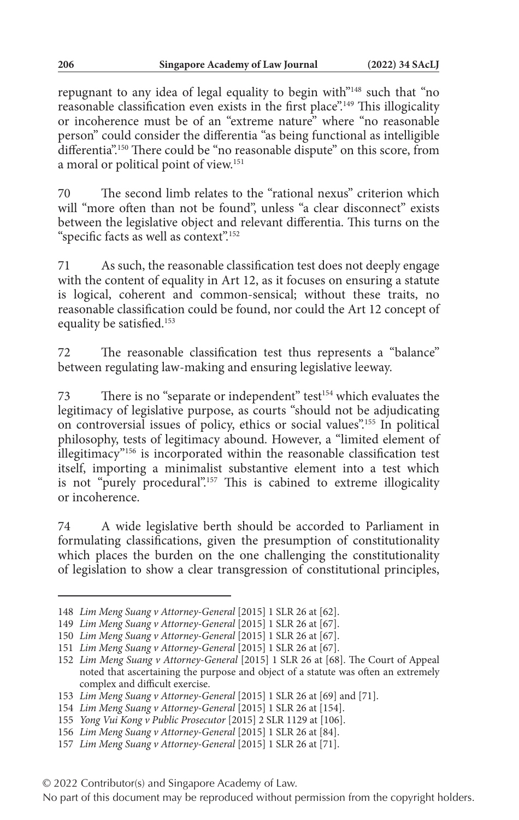repugnant to any idea of legal equality to begin with"148 such that "no reasonable classification even exists in the first place".149 This illogicality or incoherence must be of an "extreme nature" where "no reasonable person" could consider the differentia "as being functional as intelligible differentia".150 There could be "no reasonable dispute" on this score, from a moral or political point of view.151

70 The second limb relates to the "rational nexus" criterion which will "more often than not be found", unless "a clear disconnect" exists between the legislative object and relevant differentia. This turns on the "specific facts as well as context".<sup>152</sup>

71 As such, the reasonable classification test does not deeply engage with the content of equality in Art 12, as it focuses on ensuring a statute is logical, coherent and common-sensical; without these traits, no reasonable classification could be found, nor could the Art 12 concept of equality be satisfied.153

72 The reasonable classification test thus represents a "balance" between regulating law-making and ensuring legislative leeway.

73 There is no "separate or independent" test<sup>154</sup> which evaluates the legitimacy of legislative purpose, as courts "should not be adjudicating on controversial issues of policy, ethics or social values".155 In political philosophy, tests of legitimacy abound. However, a "limited element of illegitimacy"156 is incorporated within the reasonable classification test itself, importing a minimalist substantive element into a test which is not "purely procedural".157 This is cabined to extreme illogicality or incoherence.

74 A wide legislative berth should be accorded to Parliament in formulating classifications, given the presumption of constitutionality which places the burden on the one challenging the constitutionality of legislation to show a clear transgression of constitutional principles,

<sup>148</sup> *Lim Meng Suang v Attorney-General* [2015] 1 SLR 26 at [62].

<sup>149</sup> *Lim Meng Suang v Attorney-General* [2015] 1 SLR 26 at [67].

<sup>150</sup> *Lim Meng Suang v Attorney-General* [2015] 1 SLR 26 at [67].

<sup>151</sup> *Lim Meng Suang v Attorney-General* [2015] 1 SLR 26 at [67].

<sup>152</sup> *Lim Meng Suang v Attorney-General* [2015] 1 SLR 26 at [68]. The Court of Appeal noted that ascertaining the purpose and object of a statute was often an extremely complex and difficult exercise.

<sup>153</sup> *Lim Meng Suang v Attorney-General* [2015] 1 SLR 26 at [69] and [71].

<sup>154</sup> *Lim Meng Suang v Attorney-General* [2015] 1 SLR 26 at [154].

<sup>155</sup> *Yong Vui Kong v Public Prosecutor* [2015] 2 SLR 1129 at [106].

<sup>156</sup> *Lim Meng Suang v Attorney-General* [2015] 1 SLR 26 at [84].

<sup>157</sup> *Lim Meng Suang v Attorney-General* [2015] 1 SLR 26 at [71].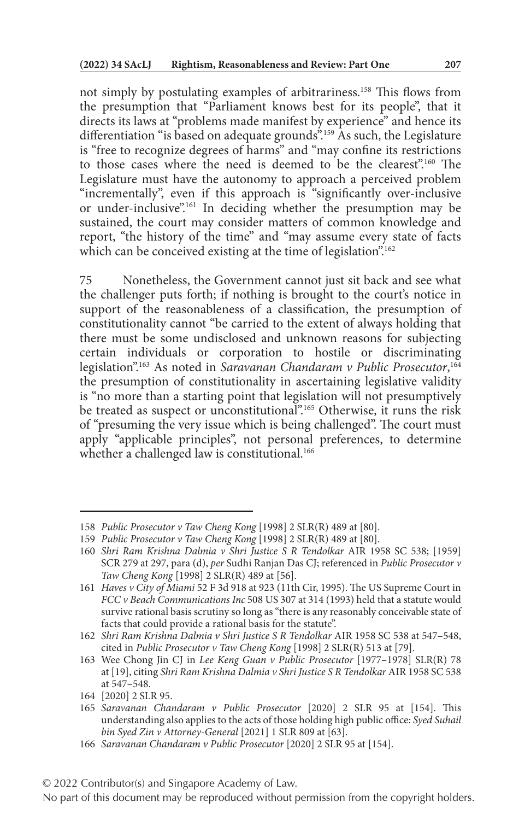not simply by postulating examples of arbitrariness.158 This flows from the presumption that "Parliament knows best for its people", that it directs its laws at "problems made manifest by experience" and hence its differentiation "is based on adequate grounds"<sup>159</sup> As such, the Legislature is "free to recognize degrees of harms" and "may confine its restrictions to those cases where the need is deemed to be the clearest".160 The Legislature must have the autonomy to approach a perceived problem "incrementally", even if this approach is "significantly over-inclusive or under-inclusive".161 In deciding whether the presumption may be sustained, the court may consider matters of common knowledge and report, "the history of the time" and "may assume every state of facts which can be conceived existing at the time of legislation".<sup>162</sup>

75 Nonetheless, the Government cannot just sit back and see what the challenger puts forth; if nothing is brought to the court's notice in support of the reasonableness of a classification, the presumption of constitutionality cannot "be carried to the extent of always holding that there must be some undisclosed and unknown reasons for subjecting certain individuals or corporation to hostile or discriminating legislation".163 As noted in *Saravanan Chandaram v Public Prosecutor*, 164 the presumption of constitutionality in ascertaining legislative validity is "no more than a starting point that legislation will not presumptively be treated as suspect or unconstitutional".<sup>165</sup> Otherwise, it runs the risk of "presuming the very issue which is being challenged". The court must apply "applicable principles", not personal preferences, to determine whether a challenged law is constitutional.<sup>166</sup>

<sup>158</sup> *Public Prosecutor v Taw Cheng Kong* [1998] 2 SLR(R) 489 at [80].

<sup>159</sup> *Public Prosecutor v Taw Cheng Kong* [1998] 2 SLR(R) 489 at [80].

<sup>160</sup> *Shri Ram Krishna Dalmia v Shri Justice S R Tendolkar* AIR 1958 SC 538; [1959] SCR 279 at 297, para (d), *per* Sudhi Ranjan Das CJ; referenced in *Public Prosecutor v Taw Cheng Kong* [1998] 2 SLR(R) 489 at [56].

<sup>161</sup> *Haves v City of Miami* 52 F 3d 918 at 923 (11th Cir, 1995). The US Supreme Court in *FCC v Beach Communications Inc* 508 US 307 at 314 (1993) held that a statute would survive rational basis scrutiny so long as "there is any reasonably conceivable state of facts that could provide a rational basis for the statute".

<sup>162</sup> *Shri Ram Krishna Dalmia v Shri Justice S R Tendolkar* AIR 1958 SC 538 at 547–548, cited in *Public Prosecutor v Taw Cheng Kong* [1998] 2 SLR(R) 513 at [79].

<sup>163</sup> Wee Chong Jin CJ in *Lee Keng Guan v Public Prosecutor* [1977–1978] SLR(R) 78 at [19], citing *Shri Ram Krishna Dalmia v Shri Justice S R Tendolkar* AIR 1958 SC 538 at 547–548.

<sup>164</sup> [2020] 2 SLR 95.

<sup>165</sup> *Saravanan Chandaram v Public Prosecutor* [2020] 2 SLR 95 at [154]. This understanding also applies to the acts of those holding high public office: *Syed Suhail bin Syed Zin v Attorney-General* [2021] 1 SLR 809 at [63].

<sup>166</sup> *Saravanan Chandaram v Public Prosecutor* [2020] 2 SLR 95 at [154].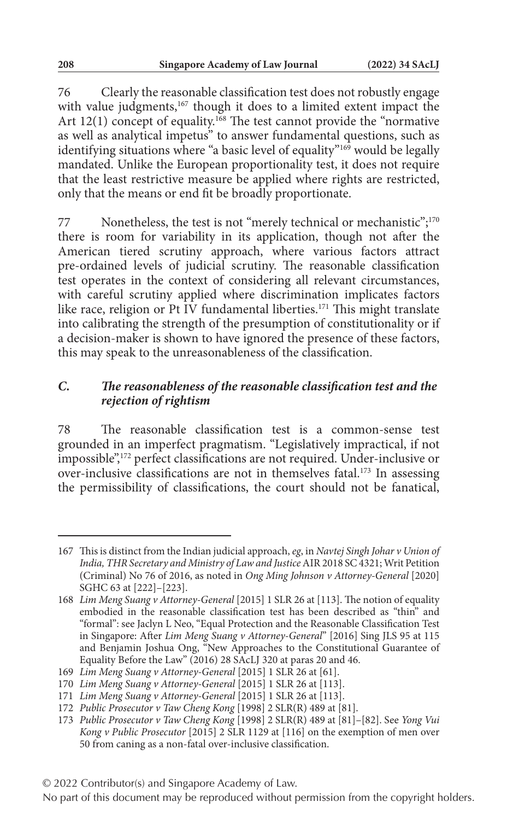76 Clearly the reasonable classification test does not robustly engage with value judgments,<sup>167</sup> though it does to a limited extent impact the Art 12(1) concept of equality.<sup>168</sup> The test cannot provide the "normative as well as analytical impetus" to answer fundamental questions, such as identifying situations where "a basic level of equality"<sup>169</sup> would be legally mandated. Unlike the European proportionality test, it does not require that the least restrictive measure be applied where rights are restricted, only that the means or end fit be broadly proportionate.

77 Nonetheless, the test is not "merely technical or mechanistic";<sup>170</sup> there is room for variability in its application, though not after the American tiered scrutiny approach, where various factors attract pre-ordained levels of judicial scrutiny. The reasonable classification test operates in the context of considering all relevant circumstances, with careful scrutiny applied where discrimination implicates factors like race, religion or Pt IV fundamental liberties.<sup>171</sup> This might translate into calibrating the strength of the presumption of constitutionality or if a decision-maker is shown to have ignored the presence of these factors, this may speak to the unreasonableness of the classification.

#### *C. The reasonableness of the reasonable classification test and the rejection of rightism*

78 The reasonable classification test is a common-sense test grounded in an imperfect pragmatism. "Legislatively impractical, if not impossible",172 perfect classifications are not required. Under-inclusive or over-inclusive classifications are not in themselves fatal.173 In assessing the permissibility of classifications, the court should not be fanatical,

<sup>167</sup> This is distinct from the Indian judicial approach, *eg*, in *Navtej Singh Johar v Union of India, THR Secretary and Ministry of Law and Justice* AIR 2018 SC 4321; Writ Petition (Criminal) No 76 of 2016, as noted in *Ong Ming Johnson v Attorney-General* [2020] SGHC 63 at [222]–[223].

<sup>168</sup> *Lim Meng Suang v Attorney-General* [2015] 1 SLR 26 at [113]. The notion of equality embodied in the reasonable classification test has been described as "thin" and "formal": see Jaclyn L Neo, "Equal Protection and the Reasonable Classification Test in Singapore: After *Lim Meng Suang v Attorney-General*" [2016] Sing JLS 95 at 115 and Benjamin Joshua Ong, "New Approaches to the Constitutional Guarantee of Equality Before the Law" (2016) 28 SAcLJ 320 at paras 20 and 46.

<sup>169</sup> *Lim Meng Suang v Attorney-General* [2015] 1 SLR 26 at [61].

<sup>170</sup> *Lim Meng Suang v Attorney-General* [2015] 1 SLR 26 at [113].

<sup>171</sup> *Lim Meng Suang v Attorney-General* [2015] 1 SLR 26 at [113].

<sup>172</sup> *Public Prosecutor v Taw Cheng Kong* [1998] 2 SLR(R) 489 at [81].

<sup>173</sup> *Public Prosecutor v Taw Cheng Kong* [1998] 2 SLR(R) 489 at [81]–[82]. See *Yong Vui Kong v Public Prosecutor* [2015] 2 SLR 1129 at [116] on the exemption of men over 50 from caning as a non-fatal over-inclusive classification.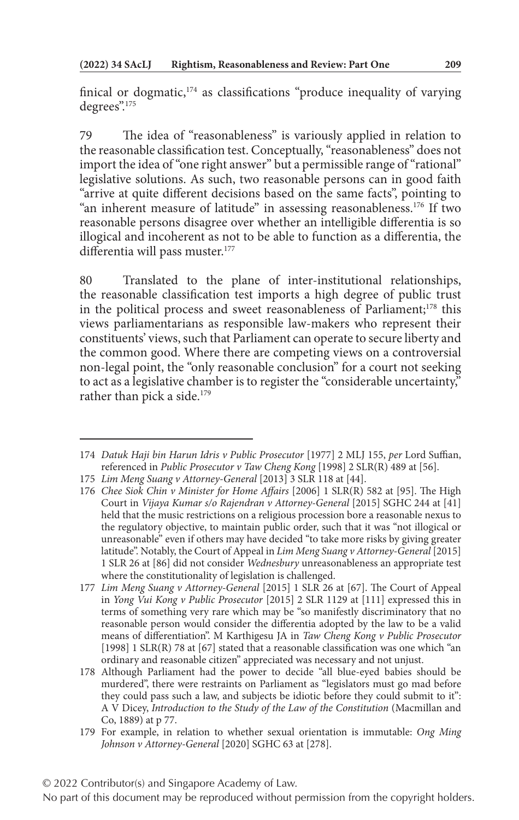finical or dogmatic,<sup>174</sup> as classifications "produce inequality of varying degrees".<sup>175</sup>

79 The idea of "reasonableness" is variously applied in relation to the reasonable classification test. Conceptually, "reasonableness" does not import the idea of "one right answer" but a permissible range of "rational" legislative solutions. As such, two reasonable persons can in good faith "arrive at quite different decisions based on the same facts", pointing to "an inherent measure of latitude" in assessing reasonableness.<sup>176</sup> If two reasonable persons disagree over whether an intelligible differentia is so illogical and incoherent as not to be able to function as a differentia, the differentia will pass muster.<sup>177</sup>

80 Translated to the plane of inter-institutional relationships, the reasonable classification test imports a high degree of public trust in the political process and sweet reasonableness of Parliament;178 this views parliamentarians as responsible law-makers who represent their constituents' views, such that Parliament can operate to secure liberty and the common good. Where there are competing views on a controversial non-legal point, the "only reasonable conclusion" for a court not seeking to act as a legislative chamber is to register the "considerable uncertainty," rather than pick a side.<sup>179</sup>

<sup>174</sup> *Datuk Haji bin Harun Idris v Public Prosecutor* [1977] 2 MLJ 155, *per* Lord Suffian, referenced in *Public Prosecutor v Taw Cheng Kong* [1998] 2 SLR(R) 489 at [56].

<sup>175</sup> *Lim Meng Suang v Attorney-General* [2013] 3 SLR 118 at [44].

<sup>176</sup> *Chee Siok Chin v Minister for Home Affairs* [2006] 1 SLR(R) 582 at [95]. The High Court in *Vijaya Kumar s/o Rajendran v Attorney-General* [2015] SGHC 244 at [41] held that the music restrictions on a religious procession bore a reasonable nexus to the regulatory objective, to maintain public order, such that it was "not illogical or unreasonable" even if others may have decided "to take more risks by giving greater latitude". Notably, the Court of Appeal in *Lim Meng Suang v Attorney-General* [2015] 1 SLR 26 at [86] did not consider *Wednesbury* unreasonableness an appropriate test where the constitutionality of legislation is challenged.

<sup>177</sup> *Lim Meng Suang v Attorney-General* [2015] 1 SLR 26 at [67]. The Court of Appeal in *Yong Vui Kong v Public Prosecutor* [2015] 2 SLR 1129 at [111] expressed this in terms of something very rare which may be "so manifestly discriminatory that no reasonable person would consider the differentia adopted by the law to be a valid means of differentiation". M Karthigesu JA in *Taw Cheng Kong v Public Prosecutor* [1998] 1 SLR(R) 78 at [67] stated that a reasonable classification was one which "an ordinary and reasonable citizen" appreciated was necessary and not unjust.

<sup>178</sup> Although Parliament had the power to decide "all blue-eyed babies should be murdered", there were restraints on Parliament as "legislators must go mad before they could pass such a law, and subjects be idiotic before they could submit to it": A V Dicey, *Introduction to the Study of the Law of the Constitution* (Macmillan and Co, 1889) at p 77.

<sup>179</sup> For example, in relation to whether sexual orientation is immutable: *Ong Ming Johnson v Attorney-General* [2020] SGHC 63 at [278].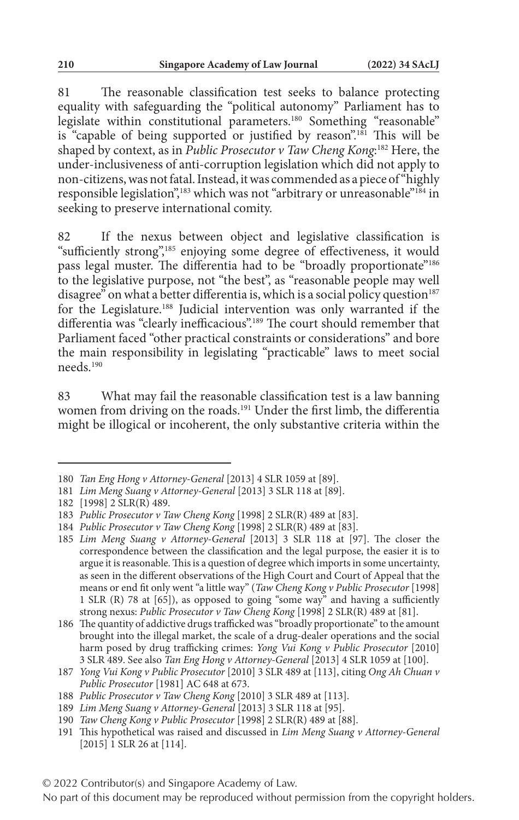81 The reasonable classification test seeks to balance protecting equality with safeguarding the "political autonomy" Parliament has to legislate within constitutional parameters.180 Something "reasonable" is "capable of being supported or justified by reason".<sup>181</sup> This will be shaped by context, as in *Public Prosecutor v Taw Cheng Kong*: 182 Here, the under-inclusiveness of anti-corruption legislation which did not apply to non-citizens, was not fatal. Instead, it was commended as a piece of "highly responsible legislation",<sup>183</sup> which was not "arbitrary or unreasonable"<sup>184</sup> in seeking to preserve international comity.

82 If the nexus between object and legislative classification is "sufficiently strong",<sup>185</sup> enjoying some degree of effectiveness, it would pass legal muster. The differentia had to be "broadly proportionate"<sup>186</sup> to the legislative purpose, not "the best", as "reasonable people may well disagree" on what a better differentia is, which is a social policy question $187$ for the Legislature.188 Judicial intervention was only warranted if the differentia was "clearly inefficacious".189 The court should remember that Parliament faced "other practical constraints or considerations" and bore the main responsibility in legislating "practicable" laws to meet social needs.190

83 What may fail the reasonable classification test is a law banning women from driving on the roads.<sup>191</sup> Under the first limb, the differentia might be illogical or incoherent, the only substantive criteria within the

<sup>180</sup> *Tan Eng Hong v Attorney-General* [2013] 4 SLR 1059 at [89].

<sup>181</sup> *Lim Meng Suang v Attorney-General* [2013] 3 SLR 118 at [89].

<sup>182</sup> [1998] 2 SLR(R) 489.

<sup>183</sup> *Public Prosecutor v Taw Cheng Kong* [1998] 2 SLR(R) 489 at [83].

<sup>184</sup> *Public Prosecutor v Taw Cheng Kong* [1998] 2 SLR(R) 489 at [83].

<sup>185</sup> *Lim Meng Suang v Attorney-General* [2013] 3 SLR 118 at [97]. The closer the correspondence between the classification and the legal purpose, the easier it is to argue it is reasonable. This is a question of degree which imports in some uncertainty, as seen in the different observations of the High Court and Court of Appeal that the means or end fit only went "a little way" (*Taw Cheng Kong v Public Prosecutor* [1998] 1 SLR (R) 78 at [65]), as opposed to going "some way" and having a sufficiently strong nexus: *Public Prosecutor v Taw Cheng Kong* [1998] 2 SLR(R) 489 at [81].

<sup>186</sup> The quantity of addictive drugs trafficked was "broadly proportionate" to the amount brought into the illegal market, the scale of a drug-dealer operations and the social harm posed by drug trafficking crimes: *Yong Vui Kong v Public Prosecutor* [2010] 3 SLR 489. See also *Tan Eng Hong v Attorney-General* [2013] 4 SLR 1059 at [100].

<sup>187</sup> *Yong Vui Kong v Public Prosecutor* [2010] 3 SLR 489 at [113], citing *Ong Ah Chuan v Public Prosecutor* [1981] AC 648 at 673.

<sup>188</sup> *Public Prosecutor v Taw Cheng Kong* [2010] 3 SLR 489 at [113].

<sup>189</sup> *Lim Meng Suang v Attorney-General* [2013] 3 SLR 118 at [95].

<sup>190</sup> *Taw Cheng Kong v Public Prosecutor* [1998] 2 SLR(R) 489 at [88].

<sup>191</sup> This hypothetical was raised and discussed in *Lim Meng Suang v Attorney-General* [2015] 1 SLR 26 at [114].

No part of this document may be reproduced without permission from the copyright holders.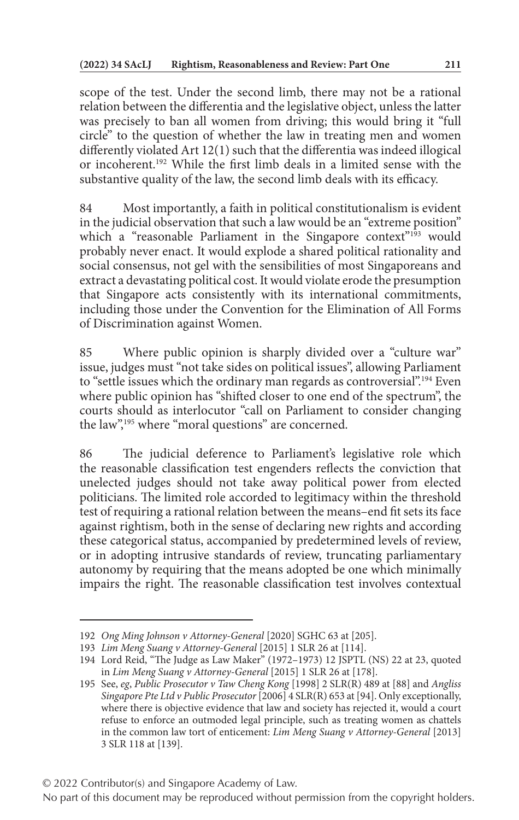scope of the test. Under the second limb, there may not be a rational relation between the differentia and the legislative object, unless the latter was precisely to ban all women from driving; this would bring it "full circle" to the question of whether the law in treating men and women differently violated Art 12(1) such that the differentia was indeed illogical or incoherent.192 While the first limb deals in a limited sense with the substantive quality of the law, the second limb deals with its efficacy.

84 Most importantly, a faith in political constitutionalism is evident in the judicial observation that such a law would be an "extreme position" which a "reasonable Parliament in the Singapore context"<sup>193</sup> would probably never enact. It would explode a shared political rationality and social consensus, not gel with the sensibilities of most Singaporeans and extract a devastating political cost. It would violate erode the presumption that Singapore acts consistently with its international commitments, including those under the Convention for the Elimination of All Forms of Discrimination against Women.

85 Where public opinion is sharply divided over a "culture war" issue, judges must "not take sides on political issues", allowing Parliament to "settle issues which the ordinary man regards as controversial".<sup>194</sup> Even where public opinion has "shifted closer to one end of the spectrum", the courts should as interlocutor "call on Parliament to consider changing the law",<sup>195</sup> where "moral questions" are concerned.

86 The judicial deference to Parliament's legislative role which the reasonable classification test engenders reflects the conviction that unelected judges should not take away political power from elected politicians. The limited role accorded to legitimacy within the threshold test of requiring a rational relation between the means–end fit sets its face against rightism, both in the sense of declaring new rights and according these categorical status, accompanied by predetermined levels of review, or in adopting intrusive standards of review, truncating parliamentary autonomy by requiring that the means adopted be one which minimally impairs the right. The reasonable classification test involves contextual

<sup>192</sup> *Ong Ming Johnson v Attorney-General* [2020] SGHC 63 at [205].

<sup>193</sup> *Lim Meng Suang v Attorney-General* [2015] 1 SLR 26 at [114].

<sup>194</sup> Lord Reid, "The Judge as Law Maker" (1972–1973) 12 JSPTL (NS) 22 at 23, quoted in *Lim Meng Suang v Attorney-General* [2015] 1 SLR 26 at [178].

<sup>195</sup> See, *eg*, *Public Prosecutor v Taw Cheng Kong* [1998] 2 SLR(R) 489 at [88] and *Angliss Singapore Pte Ltd v Public Prosecutor* [2006] 4 SLR(R) 653 at [94]. Only exceptionally, where there is objective evidence that law and society has rejected it, would a court refuse to enforce an outmoded legal principle, such as treating women as chattels in the common law tort of enticement: *Lim Meng Suang v Attorney-General* [2013] 3 SLR 118 at [139].